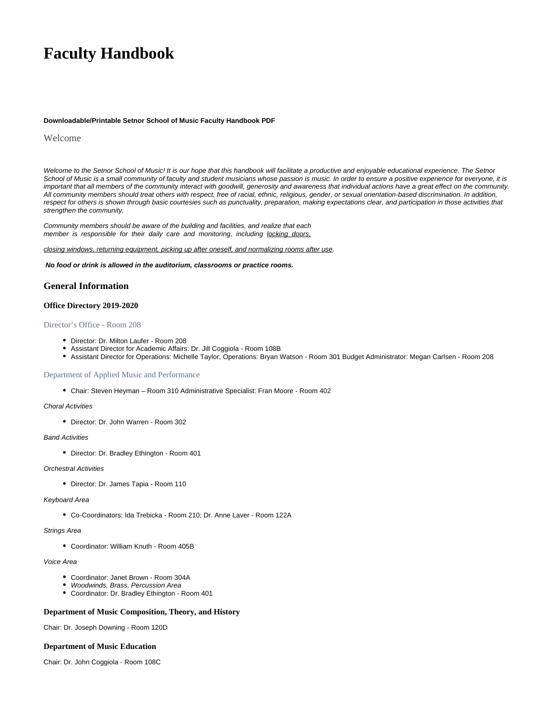# **Faculty Handbook**

#### **Downloadable/Printable Setnor School of Music Faculty Handbook PDF**

### Welcome

Welcome to the Setnor School of Music! It is our hope that this handbook will facilitate a productive and enjoyable educational experience. The Setnor School of Music is a small community of faculty and student musicians whose passion is music. In order to ensure a positive experience for everyone, it is important that all members of the community interact with goodwill, generosity and awareness that individual actions have a great effect on the community. All community members should treat others with respect, free of racial, ethnic, religious, gender, or sexual orientation-based discrimination. In addition, respect for others is shown through basic courtesies such as punctuality, preparation, making expectations clear, and participation in those activities that strengthen the community.

Community members should be aware of the building and facilities, and realize that each member is responsible for their daily care and monitoring, including locking doors,

#### closing windows, returning equipment, picking up after oneself, and normalizing rooms after use.

**No food or drink is allowed in the auditorium, classrooms or practice rooms.**

### **General Information**

### **Office Directory 2019-2020**

### Director's Office - Room 208

- Director: Dr. Milton Laufer Room 208
- Assistant Director for Academic Affairs: Dr. Jill Coggiola Room 108B
- Assistant Director for Operations: Michelle Taylor, Operations: Bryan Watson Room 301 Budget Administrator: Megan Carlsen Room 208

#### Department of Applied Music and Performance

Chair: Steven Heyman – Room 310 Administrative Specialist: Fran Moore - Room 402

#### Choral Activities

• Director: Dr. John Warren - Room 302

### Band Activities

Director: Dr. Bradley Ethington - Room 401

### Orchestral Activities

Director: Dr. James Tapia - Room 110

#### Keyboard Area

Co-Coordinators: Ida Trebicka - Room 210; Dr. Anne Laver - Room 122A

#### Strings Area

Coordinator: William Knuth - Room 405B

#### Voice Area

- Coordinator: Janet Brown Room 304A
- Woodwinds, Brass, Percussion Area
- Coordinator: Dr. Bradley Ethington Room 401

#### **Department of Music Composition, Theory, and History**

Chair: Dr. Joseph Downing - Room 120D

#### **Department of Music Education**

Chair: Dr. John Coggiola - Room 108C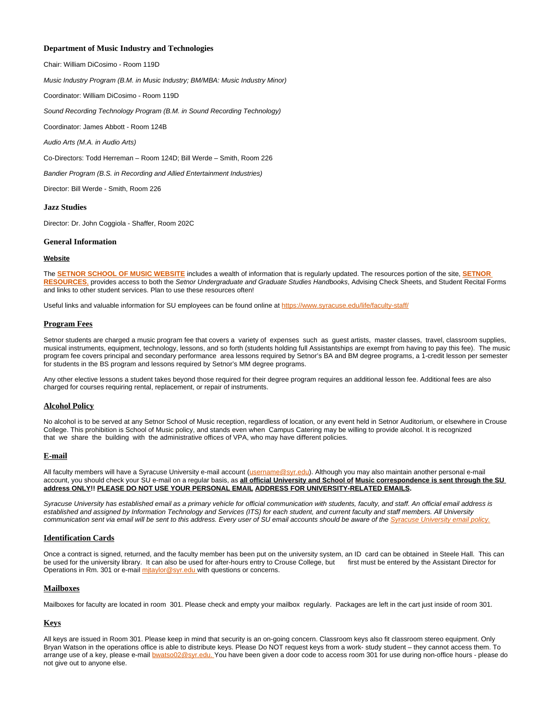### **Department of Music Industry and Technologies**

Chair: William DiCosimo - Room 119D

Music Industry Program (B.M. in Music Industry; BM/MBA: Music Industry Minor)

Coordinator: William DiCosimo - Room 119D

Sound Recording Technology Program (B.M. in Sound Recording Technology)

Coordinator: James Abbott - Room 124B

Audio Arts (M.A. in Audio Arts)

Co-Directors: Todd Herreman – Room 124D; Bill Werde – Smith, Room 226

Bandier Program (B.S. in Recording and Allied Entertainment Industries)

Director: Bill Werde - Smith, Room 226

#### **Jazz Studies**

Director: Dr. John Coggiola - Shaffer, Room 202C

#### **General Information**

#### **Website**

The **[SETNOR SCHOOL OF MUSIC WEBSITE](http://vpa.syr.edu/academics/setnor/)** includes a wealth of information that is regularly updated. The resources portion of the site, **[SETNOR](http://setnor-resources.vpa.syr.edu/music-majors/)  [RESOURCES](http://setnor-resources.vpa.syr.edu/music-majors/)**, provides access to both the Setnor Undergraduate and Graduate Studies Handbooks, Advising Check Sheets, and Student Recital Forms and links to other student services. Plan to use these resources often!

Useful links and valuable information for SU employees can be found online at <https://www.syracuse.edu/life/faculty-staff/>

#### **Program Fees**

Setnor students are charged a music program fee that covers a variety of expenses such as guest artists, master classes, travel, classroom supplies, musical instruments, equipment, technology, lessons, and so forth (students holding full Assistantships are exempt from having to pay this fee). The music program fee covers principal and secondary performance area lessons required by Setnor's BA and BM degree programs, a 1-credit lesson per semester for students in the BS program and lessons required by Setnor's MM degree programs.

Any other elective lessons a student takes beyond those required for their degree program requires an additional lesson fee. Additional fees are also charged for courses requiring rental, replacement, or repair of instruments.

#### **Alcohol Policy**

No alcohol is to be served at any Setnor School of Music reception, regardless of location, or any event held in Setnor Auditorium, or elsewhere in Crouse College. This prohibition is School of Music policy, and stands even when Campus Catering may be willing to provide alcohol. It is recognized that we share the building with the administrative offices of VPA, who may have different policies.

#### **E-mail**

All faculty members will have a Syracuse University e-mail account [\(username@syr.edu\)](mailto:username@syr.edu). Although you may also maintain another personal e-mail account, you should check your SU e-mail on a regular basis, as **all official University and School of Music correspondence is sent through the SU address ONLY!! PLEASE DO NOT USE YOUR PERSONAL EMAIL ADDRESS FOR UNIVERSITY-RELATED EMAILS.**

Syracuse University has established email as a primary vehicle for official communication with students, faculty, and staff. An official email address is established and assigned by Information Technology and Services (ITS) for each student, and current faculty and staff members. All University communication sent via email will be sent to this address. Every user of SU email accounts should be aware of the [Syracuse University email policy.](https://policies.syr.edu/policies/information-technology/e-mail-policy/)

### **Identification Cards**

Once a contract is signed, returned, and the faculty member has been put on the university system, an ID card can be obtained in Steele Hall. This can be used for the university library. It can also be used for after-hours entry to Crouse College, but first must be entered by the Assistant Director for Operations in Rm. 301 or e-mail mitaylor@syr.edu with questions or concerns.

### **Mailboxes**

Mailboxes for faculty are located in room 301. Please check and empty your mailbox regularly. Packages are left in the cart just inside of room 301.

### **Keys**

All keys are issued in Room 301. Please keep in mind that security is an on-going concern. Classroom keys also fit classroom stereo equipment. Only Bryan Watson in the operations office is able to distribute keys. Please Do NOT request keys from a work- study student – they cannot access them. To arrange use of a key, please e-mail [bwatso02@syr.edu. Y](mailto:bwatso02@syr.edu)ou have been given a door code to access room 301 for use during non-office hours - please do not give out to anyone else.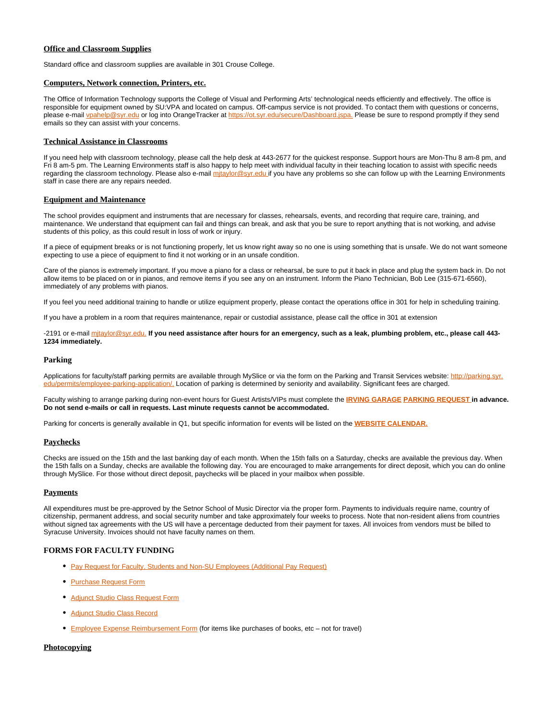### **Office and Classroom Supplies**

Standard office and classroom supplies are available in 301 Crouse College.

### **Computers, Network connection, Printers, etc.**

The Office of Information Technology supports the College of Visual and Performing Arts' technological needs efficiently and effectively. The office is responsible for equipment owned by SU:VPA and located on campus. Off-campus service is not provided. To contact them with questions or concerns, please e-mail [vpahelp@syr.edu](mailto:vpahelp@syr.edu) or log into OrangeTracker at [https://ot.syr.edu/secure/Dashboard.jspa.](https://ot.syr.edu/secure/Dashboard.jspa) Please be sure to respond promptly if they send emails so they can assist with your concerns.

#### **Technical Assistance in Classrooms**

If you need help with classroom technology, please call the help desk at 443-2677 for the quickest response. Support hours are Mon-Thu 8 am-8 pm, and Fri 8 am-5 pm. The Learning Environments staff is also happy to help meet with individual faculty in their teaching location to assist with specific needs regarding the classroom technology. Please also e-mail mitaylor@syr.edu if you have any problems so she can follow up with the Learning Environments staff in case there are any repairs needed.

#### **Equipment and Maintenance**

The school provides equipment and instruments that are necessary for classes, rehearsals, events, and recording that require care, training, and maintenance. We understand that equipment can fail and things can break, and ask that you be sure to report anything that is not working, and advise students of this policy, as this could result in loss of work or injury.

If a piece of equipment breaks or is not functioning properly, let us know right away so no one is using something that is unsafe. We do not want someone expecting to use a piece of equipment to find it not working or in an unsafe condition.

Care of the pianos is extremely important. If you move a piano for a class or rehearsal, be sure to put it back in place and plug the system back in. Do not allow items to be placed on or in pianos, and remove items if you see any on an instrument. Inform the Piano Technician, Bob Lee (315-671-6560), immediately of any problems with pianos.

If you feel you need additional training to handle or utilize equipment properly, please contact the operations office in 301 for help in scheduling training.

If you have a problem in a room that requires maintenance, repair or custodial assistance, please call the office in 301 at extension

-2191 or e-mail [mjtaylor@syr.edu.](mailto:mjtaylor@syr.edu) **If you need assistance after hours for an emergency, such as a leak, plumbing problem, etc., please call 443- 1234 immediately.**

### **Parking**

Applications for faculty/staff parking permits are available through MySlice or via the form on the Parking and Transit Services website: [http://parking.syr.](http://parking.syr.edu/permits/employee-parking-application/) /permits/employee-parking-application/. Location of parking is determined by seniority and availability. Significant fees are charged.

Faculty wishing to arrange parking during non-event hours for Guest Artists/VIPs must complete the **[IRVING GARAGE](https://its-forms.syr.edu/frevvo/web/tn/VPA/user/mecarlse/app/_L9j2sDxLEeWxmM5q6-jqow/formtype/_ys65QE2rEeWxmM5q6-jqow/popupform) [PARKING REQUEST](https://its-forms.syr.edu/frevvo/web/tn/VPA/user/mecarlse/app/_L9j2sDxLEeWxmM5q6-jqow/formtype/_ys65QE2rEeWxmM5q6-jqow/popupform) in advance. Do not send e-mails or call in requests. Last minute requests cannot be accommodated.**

Parking for concerts is generally available in Q1, but specific information for events will be listed on the **[WEBSITE CALENDAR.](http://vpa.syr.edu/calendar/)**

### **Paychecks**

Checks are issued on the 15th and the last banking day of each month. When the 15th falls on a Saturday, checks are available the previous day. When the 15th falls on a Sunday, checks are available the following day. You are encouraged to make arrangements for direct deposit, which you can do online through MySlice. For those without direct deposit, paychecks will be placed in your mailbox when possible.

### **Payments**

All expenditures must be pre-approved by the Setnor School of Music Director via the proper form. Payments to individuals require name, country of citizenship, permanent address, and social security number and take approximately four weeks to process. Note that non-resident aliens from countries without signed tax agreements with the US will have a percentage deducted from their payment for taxes. All invoices from vendors must be billed to Syracuse University. Invoices should not have faculty names on them.

### **FORMS FOR FACULTY FUNDING**

- [Pay Request for Faculty, Students and Non-SU Employees \(Additional Pay Request\)](https://its-forms.syr.edu/frevvo/web/tn/VPA/user/mecarlse/app/_L9j2sDxLEeWxmM5q6-jqow/formtype/__Rr44L-PEeW8ntRvUbugtQ/popupform)
- [Purchase Request Form](https://its-forms.syr.edu/frevvo/web/tn/VPA/user/mecarlse/app/_L9j2sDxLEeWxmM5q6-jqow/formtype/_ZyDTQJzgEeWxmM5q6-jqow/popupform)
- [Adjunct Studio Class Request Form](https://its-forms.syr.edu/frevvo/web/tn/VPA/user/mecarlse/app/_L9j2sDxLEeWxmM5q6-jqow/formtype/_2yTTYFY0EeWxmM5q6-jqow/popupform)
- [Adjunct Studio Class Record](https://its-forms.syr.edu/frevvo/web/tn/VPA/user/mecarlse/app/_L9j2sDxLEeWxmM5q6-jqow/formtype/_8OYFIIFjEeWxmM5q6-jqow/popupform)
- **[Employee Expense Reimbursement Form](http://bfas.syr.edu/forms/employee-expense-reimbursement-request/)** (for items like purchases of books, etc not for travel)

#### **Photocopying**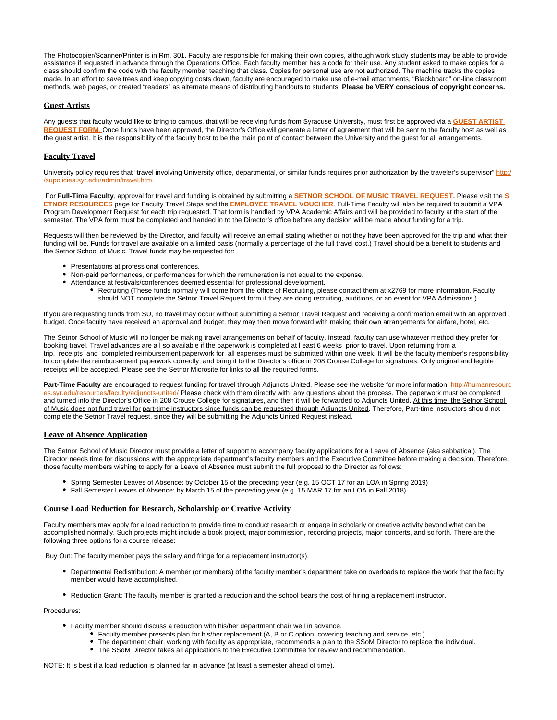The Photocopier/Scanner/Printer is in Rm. 301. Faculty are responsible for making their own copies, although work study students may be able to provide assistance if requested in advance through the Operations Office. Each faculty member has a code for their use. Any student asked to make copies for a class should confirm the code with the faculty member teaching that class. Copies for personal use are not authorized. The machine tracks the copies made. In an effort to save trees and keep copying costs down, faculty are encouraged to make use of e-mail attachments, "Blackboard" on-line classroom methods, web pages, or created "readers" as alternate means of distributing handouts to students. **Please be VERY conscious of copyright concerns.**

#### **Guest Artists**

Any guests that faculty would like to bring to campus, that will be receiving funds from Syracuse University, must first be approved via a **[GUEST ARTIST](https://its-forms.syr.edu/frevvo/web/tn/VPA/user/mecarlse/app/_L9j2sDxLEeWxmM5q6-jqow/formtype/_ZNF-gFYzEeWxmM5q6-jqow/popupform)**  [REQUEST FORM](https://its-forms.syr.edu/frevvo/web/tn/VPA/user/mecarlse/app/_L9j2sDxLEeWxmM5q6-jqow/formtype/_ZNF-gFYzEeWxmM5q6-jqow/popupform). Once funds have been approved, the Director's Office will generate a letter of agreement that will be sent to the faculty host as well as the guest artist. It is the responsibility of the faculty host to be the main point of contact between the University and the guest for all arrangements.

### **Faculty Travel**

University policy requires that "travel involving University office, departmental, or similar funds requires prior authorization by the traveler's supervisor" [http:/](http://supolicies.syr.edu/admin/travel.htm) syr.edu/admin/travel.htm.

 For **Full-Time Faculty**, approval for travel and funding is obtained by submitting a **[SETNOR SCHOOL OF MUSIC TRAVEL](https://its-forms.syr.edu/frevvo/web/tn/VPA/user/mecarlse/app/_L9j2sDxLEeWxmM5q6-jqow/formtype/_IO4yoEZpEeWxmM5q6-jqow/popupform) [REQUEST.](https://its-forms.syr.edu/frevvo/web/tn/VPA/user/mecarlse/app/_L9j2sDxLEeWxmM5q6-jqow/formtype/_IO4yoEZpEeWxmM5q6-jqow/popupform)** Please visit the **[S](http://setnor-resources.vpa.syr.edu/faculty-staff/) [ETNOR RESOURCES](http://setnor-resources.vpa.syr.edu/faculty-staff/)** page for Faculty Travel Steps and the **[EMPLOYEE TRAVEL](http://bfas.syr.edu/forms/travel-voucher/) [VOUCHER](http://bfas.syr.edu/forms/travel-voucher/)**. Full-Time Faculty will also be required to submit a VPA Program Development Request for each trip requested. That form is handled by VPA Academic Affairs and will be provided to faculty at the start of the semester. The VPA form must be completed and handed in to the Director's office before any decision will be made about funding for a trip.

Requests will then be reviewed by the Director, and faculty will receive an email stating whether or not they have been approved for the trip and what their funding will be. Funds for travel are available on a limited basis (normally a percentage of the full travel cost.) Travel should be a benefit to students and the Setnor School of Music. Travel funds may be requested for:

- Presentations at professional conferences.
- Non-paid performances, or performances for which the remuneration is not equal to the expense.
- Attendance at festivals/conferences deemed essential for professional development.
	- Recruiting (These funds normally will come from the office of Recruiting, please contact them at x2769 for more information. Faculty should NOT complete the Setnor Travel Request form if they are doing recruiting, auditions, or an event for VPA Admissions.)

If you are requesting funds from SU, no travel may occur without submitting a Setnor Travel Request and receiving a confirmation email with an approved budget. Once faculty have received an approval and budget, they may then move forward with making their own arrangements for airfare, hotel, etc.

The Setnor School of Music will no longer be making travel arrangements on behalf of faculty. Instead, faculty can use whatever method they prefer for booking travel. Travel advances are a I so available if the paperwork is completed at I east 6 weeks prior to travel. Upon returning from a trip, receipts and completed reimbursement paperwork for all expenses must be submitted within one week. It will be the faculty member's responsibility to complete the reimbursement paperwork correctly, and bring it to the Director's office in 208 Crouse College for signatures. Only original and legible receipts will be accepted. Please see the Setnor Microsite for links to all the required forms.

Part-Time Faculty are encouraged to request funding for travel through Adjuncts United. Please see the website for more information. [http://humanresourc](http://humanresources.syr.edu/resources/faculty/adjuncts-united/) s/faculty/adjuncts-united/ Please check with them directly with any questions about the process. The paperwork must be completed and turned into the Director's Office in 208 Crouse College for signatures, and then it will be forwarded to Adjuncts United. At this time, the Setnor School of Music does not fund travel for part-time instructors since funds can be requested through Adjuncts United. Therefore, Part-time instructors should not complete the Setnor Travel request, since they will be submitting the Adjuncts United Request instead.

### **Leave of Absence Application**

The Setnor School of Music Director must provide a letter of support to accompany faculty applications for a Leave of Absence (aka sabbatical). The Director needs time for discussions with the appropriate department's faculty members and the Executive Committee before making a decision. Therefore, those faculty members wishing to apply for a Leave of Absence must submit the full proposal to the Director as follows:

- Spring Semester Leaves of Absence: by October 15 of the preceding year (e.g. 15 OCT 17 for an LOA in Spring 2019)
- Fall Semester Leaves of Absence: by March 15 of the preceding year (e.g. 15 MAR 17 for an LOA in Fall 2018)

### **Course Load Reduction for Research, Scholarship or Creative Activity**

Faculty members may apply for a load reduction to provide time to conduct research or engage in scholarly or creative activity beyond what can be accomplished normally. Such projects might include a book project, major commission, recording projects, major concerts, and so forth. There are the following three options for a course release:

Buy Out: The faculty member pays the salary and fringe for a replacement instructor(s).

- Departmental Redistribution: A member (or members) of the faculty member's department take on overloads to replace the work that the faculty member would have accomplished.
- Reduction Grant: The faculty member is granted a reduction and the school bears the cost of hiring a replacement instructor.

Procedures:

- Faculty member should discuss a reduction with his/her department chair well in advance.
	- Faculty member presents plan for his/her replacement (A, B or C option, covering teaching and service, etc.).
	- The department chair, working with faculty as appropriate, recommends a plan to the SSoM Director to replace the individual.
	- The SSoM Director takes all applications to the Executive Committee for review and recommendation.

NOTE: It is best if a load reduction is planned far in advance (at least a semester ahead of time).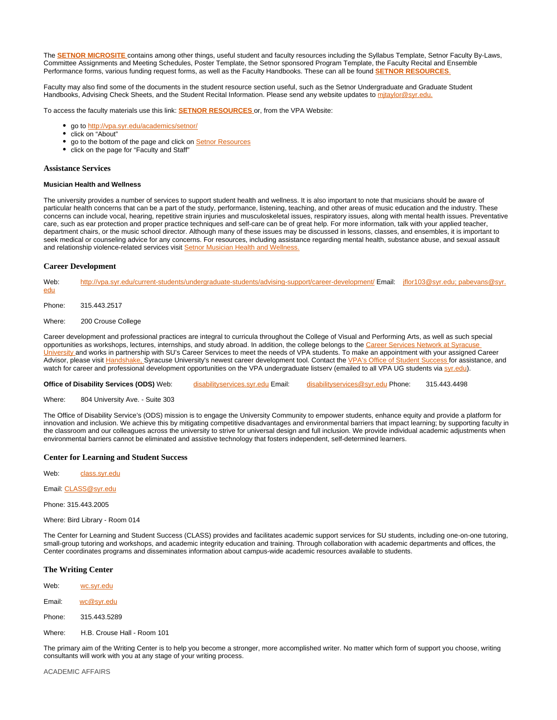The **[SETNOR MICROSITE](http://setnor-resources.vpa.syr.edu/faculty-staff/)** contains among other things, useful student and faculty resources including the Syllabus Template, Setnor Faculty By-Laws, Committee Assignments and Meeting Schedules, Poster Template, the Setnor sponsored Program Template, the Faculty Recital and Ensemble Performance forms, various funding request forms, as well as the Faculty Handbooks. These can all be found **[SETNOR RESOURCES](http://setnor-resources.vpa.syr.edu/faculty-staff/)**.

Faculty may also find some of the documents in the student resource section useful, such as the Setnor Undergraduate and Graduate Student Handbooks, Advising Check Sheets, and the Student Recital Information. Please send any website updates to mitaylor@syr.edu.

To access the faculty materials use this link: **[SETNOR RESOURCES](http://setnor-resources.vpa.syr.edu/faculty-staff/)** or, from the VPA Website:

- go to <http://vpa.syr.edu/academics/setnor/>
- click on "About"
- go to the bottom of the page and click on [Setnor Resources](http://setnor-resources.vpa.syr.edu/)
- click on the page for "Faculty and Staff"

#### **Assistance Services**

#### **Musician Health and Wellness**

The university provides a number of services to support student health and wellness. It is also important to note that musicians should be aware of particular health concerns that can be a part of the study, performance, listening, teaching, and other areas of music education and the industry. These concerns can include vocal, hearing, repetitive strain injuries and musculoskeletal issues, respiratory issues, along with mental health issues. Preventative care, such as ear protection and proper practice techniques and self-care can be of great help. For more information, talk with your applied teacher, department chairs, or the music school director. Although many of these issues may be discussed in lessons, classes, and ensembles, it is important to seek medical or counseling advice for any concerns. For resources, including assistance regarding mental health, substance abuse, and sexual assault and relationship violence-related services visit [Setnor Musician Health and Wellness.](http://setnor-resources.vpa.syr.edu/musician-health-and-wellness/)

#### **Career Development**

| Web:<br>edu                                                                                                                                      | http://vpa.syr.edu/current-students/undergraduate-students/advising-support/career-development/ Email: jflor103@syr.edu; pabevans@syr. |  |  |  |
|--------------------------------------------------------------------------------------------------------------------------------------------------|----------------------------------------------------------------------------------------------------------------------------------------|--|--|--|
| Phone:                                                                                                                                           | 315.443.2517                                                                                                                           |  |  |  |
| Where:                                                                                                                                           | 200 Crouse College                                                                                                                     |  |  |  |
| Cassas development and professional protices are integral to consider throughout the Callege of Visual and Destermine Aste an unable an adole in |                                                                                                                                        |  |  |  |

Career development and professional practices are integral to curricula throughout the College of Visual and Performing Arts, as well as such special opportunities as workshops, lectures, internships, and study abroad. In addition, the college belongs to the Career Services Network at Syracuse [University](http://careerservices.syr.edu/) and works in partnership with SU's Career Services to meet the needs of VPA students. To make an appointment with your assigned Career Advisor, please visit [Handshake,](https://syr.joinhandshake.com/login) Syracuse University's newest career development tool. Contact the [VPA's Office of Student Success f](http://vpa.syr.edu/about-suvpa/administration/student-success)or assistance, and watch for career and professional development opportunities on the VPA undergraduate listserv (emailed to all VPA UG students via [syr.edu](http://syr.edu)).

**Office of Disability Services (ODS)** Web: [disabilityservices.syr.edu](http://disabilityservices.syr.edu/) Email: [disabilityservices@syr.edu](mailto:disabilityservices@syr.edu) Phone: 315.443.4498

Where: 804 University Ave. - Suite 303

The Office of Disability Service's (ODS) mission is to engage the University Community to empower students, enhance equity and provide a platform for innovation and inclusion. We achieve this by mitigating competitive disadvantages and environmental barriers that impact learning; by supporting faculty in the classroom and our colleagues across the university to strive for universal design and full inclusion. We provide individual academic adjustments when environmental barriers cannot be eliminated and assistive technology that fosters independent, self-determined learners.

#### **Center for Learning and Student Success**

Web: class.svr.edu

Email: [CLASS@syr.edu](mailto:CLASS@syr.edu)

Phone: 315.443.2005

Where: Bird Library - Room 014

The Center for Learning and Student Success (CLASS) provides and facilitates academic support services for SU students, including one-on-one tutoring, small-group tutoring and workshops, and academic integrity education and training. Through collaboration with academic departments and offices, the Center coordinates programs and disseminates information about campus-wide academic resources available to students.

### **The Writing Center**

| Web:   | wc.svr.edu                  |
|--------|-----------------------------|
| Email: | wc@syr.edu                  |
| Phone: | 315.443.5289                |
| Where: | H.B. Crouse Hall - Room 101 |

The primary aim of the Writing Center is to help you become a stronger, more accomplished writer. No matter which form of support you choose, writing consultants will work with you at any stage of your writing process.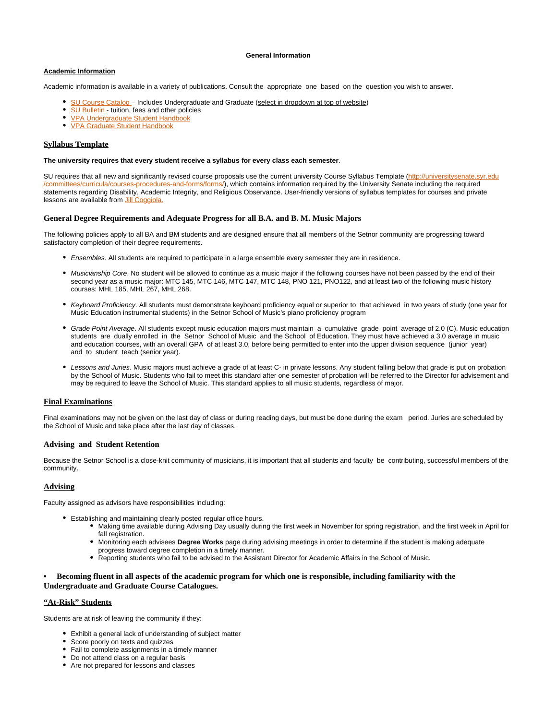#### **General Information**

### **Academic Information**

Academic information is available in a variety of publications. Consult the appropriate one based on the question you wish to answer.

- SU Course Catalog Includes Undergraduate and Graduate (select in dropdown at top of website)
- [SU Bulletin](http://bfas.syr.edu/bursar/tuition-fees-and-related-policies-bulletin)  tuition, fees and other policies  $\bullet$
- [VPA Undergraduate Student Handbook](http://vpa.syr.edu/current-students/undergraduate-students/advising-support/career-development/)
- **[VPA Graduate Student Handbook](http://vpa.syr.edu/current-students/graduate-students/resources/)**

### **Syllabus Template**

#### **The university requires that every student receive a syllabus for every class each semester**.

SU requires that all new and significantly revised course proposals use the current university Course Syllabus Template ([http://universitysenate.syr.edu](http://universitysenate.syr.edu/committees/curricula/courses-procedures-and-forms/forms/) [/committees/curricula/courses-procedures-and-forms/forms/](http://universitysenate.syr.edu/committees/curricula/courses-procedures-and-forms/forms/)), which contains information required by the University Senate including the required statements regarding Disability, Academic Integrity, and Religious Observance. User-friendly versions of syllabus templates for courses and private lessons are available from [Jill Coggiola.](mailto:jacoggio@syr.edu)

#### **General Degree Requirements and Adequate Progress for all B.A. and B. M. Music Majors**

The following policies apply to all BA and BM students and are designed ensure that all members of the Setnor community are progressing toward satisfactory completion of their degree requirements.

- **Ensembles.** All students are required to participate in a large ensemble every semester they are in residence.
- Musicianship Core. No student will be allowed to continue as a music major if the following courses have not been passed by the end of their second year as a music major: MTC 145, MTC 146, MTC 147, MTC 148, PNO 121, PNO122, and at least two of the following music history courses: MHL 185, MHL 267, MHL 268.
- Keyboard Proficiency. All students must demonstrate keyboard proficiency equal or superior to that achieved in two years of study (one year for Music Education instrumental students) in the Setnor School of Music's piano proficiency program
- Grade Point Average. All students except music education majors must maintain a cumulative grade point average of 2.0 (C). Music education students are dually enrolled in the Setnor School of Music and the School of Education. They must have achieved a 3.0 average in music and education courses, with an overall GPA of at least 3.0, before being permitted to enter into the upper division sequence (junior year) and to student teach (senior year).
- Lessons and Juries. Music majors must achieve a grade of at least C- in private lessons. Any student falling below that grade is put on probation by the School of Music. Students who fail to meet this standard after one semester of probation will be referred to the Director for advisement and may be required to leave the School of Music. This standard applies to all music students, regardless of major.

#### **Final Examinations**

Final examinations may not be given on the last day of class or during reading days, but must be done during the exam period. Juries are scheduled by the School of Music and take place after the last day of classes.

#### **Advising and Student Retention**

Because the Setnor School is a close-knit community of musicians, it is important that all students and faculty be contributing, successful members of the community.

### **Advising**

Faculty assigned as advisors have responsibilities including:

- Establishing and maintaining clearly posted regular office hours.
	- Making time available during Advising Day usually during the first week in November for spring registration, and the first week in April for fall registration.
	- Monitoring each advisees **Degree Works** page during advising meetings in order to determine if the student is making adequate progress toward degree completion in a timely manner.
	- Reporting students who fail to be advised to the Assistant Director for Academic Affairs in the School of Music.

### **• Becoming fluent in all aspects of the academic program for which one is responsible, including familiarity with the Undergraduate and Graduate Course Catalogues.**

#### **"At-Risk" Students**

Students are at risk of leaving the community if they:

- Exhibit a general lack of understanding of subject matter
- Score poorly on texts and quizzes
- Fail to complete assignments in a timely manner
- Do not attend class on a regular basis
- Are not prepared for lessons and classes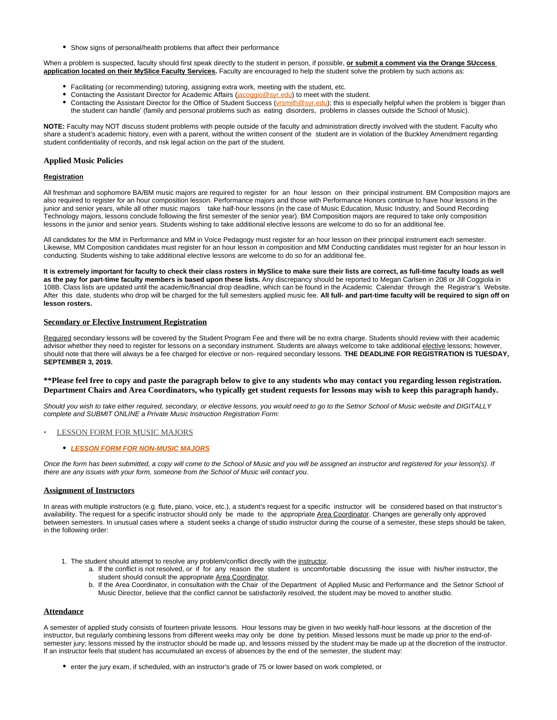Show signs of personal/health problems that affect their performance

When a problem is suspected, faculty should first speak directly to the student in person, if possible, **or submit a comment via the Orange SUccess application located on their MySlice Faculty Services.** Faculty are encouraged to help the student solve the problem by such actions as:

- Facilitating (or recommending) tutoring, assigning extra work, meeting with the student, etc.
- Contacting the Assistant Director for Academic Affairs ([jacoggio@syr.edu](mailto:jacoggio@syr.edu)) to meet with the student.
- Contacting the Assistant Director for the Office of Student Success (*vrsmith@syr.edu*); this is especially helpful when the problem is 'bigger than the student can handle' (family and personal problems such as eating disorders, problems in classes outside the School of Music).

**NOTE:** Faculty may NOT discuss student problems with people outside of the faculty and administration directly involved with the student. Faculty who share a student's academic history, even with a parent, without the written consent of the student are in violation of the Buckley Amendment regarding student confidentiality of records, and risk legal action on the part of the student.

### **Applied Music Policies**

#### **Registration**

All freshman and sophomore BA/BM music majors are required to register for an hour lesson on their principal instrument. BM Composition majors are also required to register for an hour composition lesson. Performance majors and those with Performance Honors continue to have hour lessons in the junior and senior years, while all other music majors take half-hour lessons (in the case of Music Education, Music Industry, and Sound Recording Technology majors, lessons conclude following the first semester of the senior year). BM Composition majors are required to take only composition lessons in the junior and senior years. Students wishing to take additional elective lessons are welcome to do so for an additional fee.

All candidates for the MM in Performance and MM in Voice Pedagogy must register for an hour lesson on their principal instrument each semester. Likewise, MM Composition candidates must register for an hour lesson in composition and MM Conducting candidates must register for an hour lesson in conducting. Students wishing to take additional elective lessons are welcome to do so for an additional fee.

**It is extremely important for faculty to check their class rosters in MySlice to make sure their lists are correct, as full-time faculty loads as well as the pay for part-time faculty members is based upon these lists.** Any discrepancy should be reported to Megan Carlsen in 208 or Jill Coggiola in 108B. Class lists are updated until the academic/financial drop deadline, which can be found in the Academic Calendar through the Registrar's Website. After this date, students who drop will be charged for the full semesters applied music fee. **All full- and part-time faculty will be required to sign off on lesson rosters.**

### **Secondary or Elective Instrument Registration**

Required secondary lessons will be covered by the Student Program Fee and there will be no extra charge. Students should review with their academic advisor whether they need to register for lessons on a secondary instrument. Students are always welcome to take additional elective lessons; however, should note that there will always be a fee charged for elective or non- required secondary lessons. **THE DEADLINE FOR REGISTRATION IS TUESDAY, SEPTEMBER 3, 2019.**

### **\*\*Please feel free to copy and paste the paragraph below to give to any students who may contact you regarding lesson registration. Department Chairs and Area Coordinators, who typically get student requests for lessons may wish to keep this paragraph handy.**

Should you wish to take either required, secondary, or elective lessons, you would need to go to the Setnor School of Music website and DIGITALLY complete and SUBMIT ONLINE a Private Music Instruction Registration Form:

#### [LESSON FORM FOR MUSIC MAJORS](https://its-forms.syr.edu/frevvo/web/tn/VPA/user/mecarlse/app/_L9j2sDxLEeWxmM5q6-jqow/formtype/_rUvpoHdfEeWxmM5q6-jqow/popupform)

#### **[LESSON FORM FOR NON-MUSIC MAJORS](https://its-forms.syr.edu/frevvo/web/tn/VPA/user/mecarlse/app/_L9j2sDxLEeWxmM5q6-jqow/formtype/_91pyAH2fEeWxmM5q6-jqow/popupform)**

Once the form has been submitted, a copy will come to the School of Music and you will be assigned an instructor and registered for your lesson(s). If there are any issues with your form, someone from the School of Music will contact you.

### **Assignment of Instructors**

In areas with multiple instructors (e.g. flute, piano, voice, etc.), a student's request for a specific instructor will be considered based on that instructor's availability. The request for a specific instructor should only be made to the appropriate Area Coordinator. Changes are generally only approved between semesters. In unusual cases where a student seeks a change of studio instructor during the course of a semester, these steps should be taken, in the following order:

- 1. The student should attempt to resolve any problem/conflict directly with the instructor.
	- a. If the conflict is not resolved, or if for any reason the student is uncomfortable discussing the issue with his/her instructor, the student should consult the appropriate Area Coordinator.
	- b. If the Area Coordinator, in consultation with the Chair of the Department of Applied Music and Performance and the Setnor School of Music Director, believe that the conflict cannot be satisfactorily resolved, the student may be moved to another studio.

#### **Attendance**

A semester of applied study consists of fourteen private lessons. Hour lessons may be given in two weekly half-hour lessons at the discretion of the instructor, but regularly combining lessons from different weeks may only be done by petition. Missed lessons must be made up prior to the end-ofsemester jury; lessons missed by the instructor should be made up, and lessons missed by the student may be made up at the discretion of the instructor. If an instructor feels that student has accumulated an excess of absences by the end of the semester, the student may:

• enter the jury exam, if scheduled, with an instructor's grade of 75 or lower based on work completed, or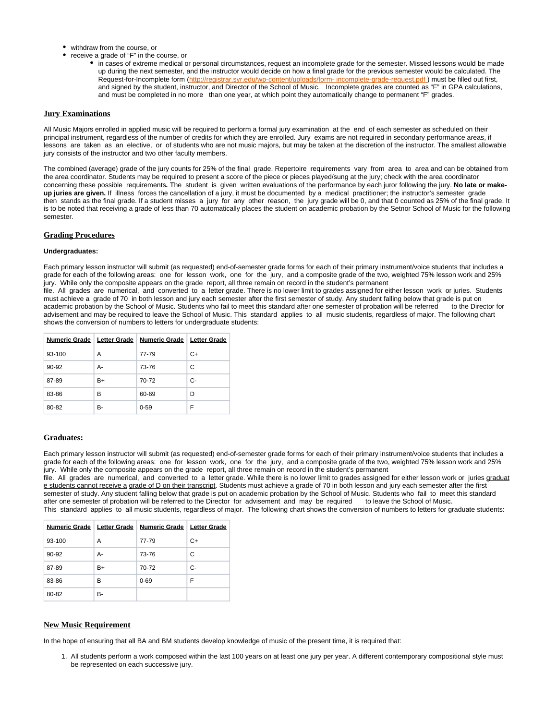- withdraw from the course, or
	- receive a grade of "F" in the course, or
		- in cases of extreme medical or personal circumstances, request an incomplete grade for the semester. Missed lessons would be made up during the next semester, and the instructor would decide on how a final grade for the previous semester would be calculated. The Request-for-Incomplete form (http://registrar.syr.edu/wp-content/uploads/form- incomplete-grade-request.pdf) must be filled out first, and signed by the student, instructor, and Director of the School of Music. Incomplete grades are counted as "F" in GPA calculations, and must be completed in no more than one year, at which point they automatically change to permanent "F" grades.

### **Jury Examinations**

All Music Majors enrolled in applied music will be required to perform a formal jury examination at the end of each semester as scheduled on their principal instrument, regardless of the number of credits for which they are enrolled. Jury exams are not required in secondary performance areas, if lessons are taken as an elective, or of students who are not music majors, but may be taken at the discretion of the instructor. The smallest allowable jury consists of the instructor and two other faculty members.

The combined (average) grade of the jury counts for 25% of the final grade. Repertoire requirements vary from area to area and can be obtained from the area coordinator. Students may be required to present a score of the piece or pieces played/sung at the jury; check with the area coordinator concerning these possible requirements**.** The student is given written evaluations of the performance by each juror following the jury. **No late or makeup juries are given.** If illness forces the cancellation of a jury, it must be documented by a medical practitioner; the instructor's semester grade then stands as the final grade. If a student misses a jury for any other reason, the jury grade will be 0, and that 0 counted as 25% of the final grade. It is to be noted that receiving a grade of less than 70 automatically places the student on academic probation by the Setnor School of Music for the following semester.

### **Grading Procedures**

### **Undergraduates:**

Each primary lesson instructor will submit (as requested) end-of-semester grade forms for each of their primary instrument/voice students that includes a grade for each of the following areas: one for lesson work, one for the jury, and a composite grade of the two, weighted 75% lesson work and 25% jury. While only the composite appears on the grade report, all three remain on record in the student's permanent

file. All grades are numerical, and converted to a letter grade. There is no lower limit to grades assigned for either lesson work or juries. Students must achieve a grade of 70 in both lesson and jury each semester after the first semester of study. Any student falling below that grade is put on academic probation by the School of Music. Students who fail to meet this standard after one semester of probation will be referred to the Director for advisement and may be required to leave the School of Music. This standard applies to all music students, regardless of major. The following chart shows the conversion of numbers to letters for undergraduate students:

|        |    | Numeric Grade   Letter Grade   Numeric Grade   Letter Grade |    |
|--------|----|-------------------------------------------------------------|----|
| 93-100 | A  | 77-79                                                       | C+ |
| 90-92  | А- | 73-76                                                       | C  |
| 87-89  | B+ | 70-72                                                       | C- |
| 83-86  | в  | 60-69                                                       | D  |
| 80-82  | в- | $0 - 59$                                                    | F  |

#### **Graduates:**

Each primary lesson instructor will submit (as requested) end-of-semester grade forms for each of their primary instrument/voice students that includes a grade for each of the following areas: one for lesson work, one for the jury, and a composite grade of the two, weighted 75% lesson work and 25% jury. While only the composite appears on the grade report, all three remain on record in the student's permanent

file. All grades are numerical, and converted to a letter grade. While there is no lower limit to grades assigned for either lesson work or juries graduat e students cannot receive a grade of D on their transcript. Students must achieve a grade of 70 in both lesson and jury each semester after the first semester of study. Any student falling below that grade is put on academic probation by the School of Music. Students who fail to meet this standard after one semester of probation will be referred to the Director for advisement and may be required to leave the School of Music. This standard applies to all music students, regardless of major. The following chart shows the conversion of numbers to letters for graduate students:

|        |    | Numeric Grade   Letter Grade   Numeric Grade   Letter Grade |    |
|--------|----|-------------------------------------------------------------|----|
| 93-100 | A  | 77-79                                                       | C+ |
| 90-92  | А- | 73-76                                                       | C  |
| 87-89  | B+ | 70-72                                                       | C- |
| 83-86  | в  | $0 - 69$                                                    | F  |
| 80-82  | в- |                                                             |    |

### **New Music Requirement**

In the hope of ensuring that all BA and BM students develop knowledge of music of the present time, it is required that:

1. All students perform a work composed within the last 100 years on at least one jury per year. A different contemporary compositional style must be represented on each successive jury.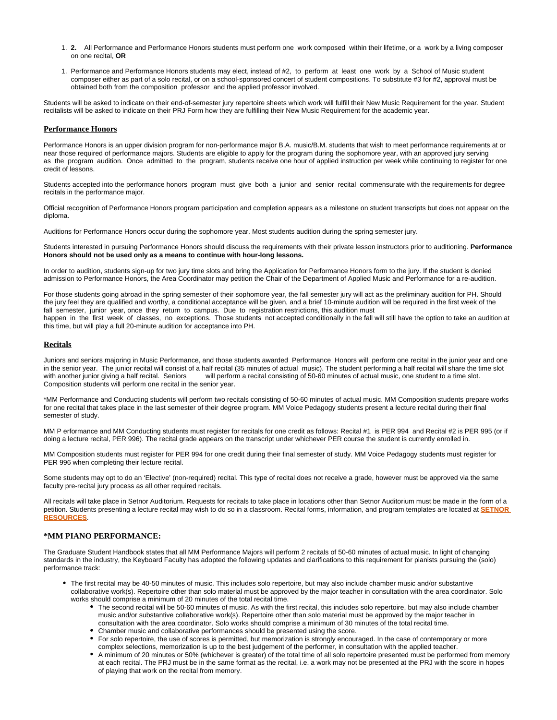- 1. **2.** All Performance and Performance Honors students must perform one work composed within their lifetime, or a work by a living composer on one recital, **OR**
- 1. Performance and Performance Honors students may elect, instead of #2, to perform at least one work by a School of Music student composer either as part of a solo recital, or on a school-sponsored concert of student compositions. To substitute #3 for #2, approval must be obtained both from the composition professor and the applied professor involved.

Students will be asked to indicate on their end-of-semester jury repertoire sheets which work will fulfill their New Music Requirement for the year. Student recitalists will be asked to indicate on their PRJ Form how they are fulfilling their New Music Requirement for the academic year.

#### **Performance Honors**

Performance Honors is an upper division program for non-performance major B.A. music/B.M. students that wish to meet performance requirements at or near those required of performance majors. Students are eligible to apply for the program during the sophomore year, with an approved jury serving as the program audition. Once admitted to the program, students receive one hour of applied instruction per week while continuing to register for one credit of lessons.

Students accepted into the performance honors program must give both a junior and senior recital commensurate with the requirements for degree recitals in the performance major.

Official recognition of Performance Honors program participation and completion appears as a milestone on student transcripts but does not appear on the diploma.

Auditions for Performance Honors occur during the sophomore year. Most students audition during the spring semester jury.

Students interested in pursuing Performance Honors should discuss the requirements with their private lesson instructors prior to auditioning. **Performance Honors should not be used only as a means to continue with hour-long lessons.**

In order to audition, students sign-up for two jury time slots and bring the Application for Performance Honors form to the jury. If the student is denied admission to Performance Honors, the Area Coordinator may petition the Chair of the Department of Applied Music and Performance for a re-audition.

For those students going abroad in the spring semester of their sophomore year, the fall semester jury will act as the preliminary audition for PH. Should the jury feel they are qualified and worthy, a conditional acceptance will be given, and a brief 10-minute audition will be required in the first week of the fall semester, junior year, once they return to campus. Due to registration restrictions, this audition must happen in the first week of classes, no exceptions. Those students not accepted conditionally in the fall will still have the option to take an audition at this time, but will play a full 20-minute audition for acceptance into PH.

#### **Recitals**

Juniors and seniors majoring in Music Performance, and those students awarded Performance Honors will perform one recital in the junior year and one in the senior year. The junior recital will consist of a half recital (35 minutes of actual music). The student performing a half recital will share the time slot with another junior giving a half recital. Seniors will perform a recital consisting of 50-60 minutes of actual music, one student to a time slot. Composition students will perform one recital in the senior year.

\*MM Performance and Conducting students will perform two recitals consisting of 50-60 minutes of actual music. MM Composition students prepare works for one recital that takes place in the last semester of their degree program. MM Voice Pedagogy students present a lecture recital during their final semester of study.

MM P erformance and MM Conducting students must register for recitals for one credit as follows: Recital #1 is PER 994 and Recital #2 is PER 995 (or if doing a lecture recital, PER 996). The recital grade appears on the transcript under whichever PER course the student is currently enrolled in.

MM Composition students must register for PER 994 for one credit during their final semester of study. MM Voice Pedagogy students must register for PER 996 when completing their lecture recital.

Some students may opt to do an 'Elective' (non-required) recital. This type of recital does not receive a grade, however must be approved via the same faculty pre-recital jury process as all other required recitals.

All recitals will take place in Setnor Auditorium. Requests for recitals to take place in locations other than Setnor Auditorium must be made in the form of a petition. Students presenting a lecture recital may wish to do so in a classroom. Recital forms, information, and program templates are located at **[SETNOR](http://setnor-resources.vpa.syr.edu/music-majors/)  [RESOURCES](http://setnor-resources.vpa.syr.edu/music-majors/)**.

### **\*MM PIANO PERFORMANCE:**

The Graduate Student Handbook states that all MM Performance Majors will perform 2 recitals of 50-60 minutes of actual music. In light of changing standards in the industry, the Keyboard Faculty has adopted the following updates and clarifications to this requirement for pianists pursuing the (solo) performance track:

- The first recital may be 40-50 minutes of music. This includes solo repertoire, but may also include chamber music and/or substantive collaborative work(s). Repertoire other than solo material must be approved by the major teacher in consultation with the area coordinator. Solo works should comprise a minimum of 20 minutes of the total recital time.
	- The second recital will be 50-60 minutes of music. As with the first recital, this includes solo repertoire, but may also include chamber music and/or substantive collaborative work(s). Repertoire other than solo material must be approved by the major teacher in consultation with the area coordinator. Solo works should comprise a minimum of 30 minutes of the total recital time.
	- Chamber music and collaborative performances should be presented using the score.
	- For solo repertoire, the use of scores is permitted, but memorization is strongly encouraged. In the case of contemporary or more complex selections, memorization is up to the best judgement of the performer, in consultation with the applied teacher.
	- A minimum of 20 minutes or 50% (whichever is greater) of the total time of all solo repertoire presented must be performed from memory at each recital. The PRJ must be in the same format as the recital, i.e. a work may not be presented at the PRJ with the score in hopes of playing that work on the recital from memory.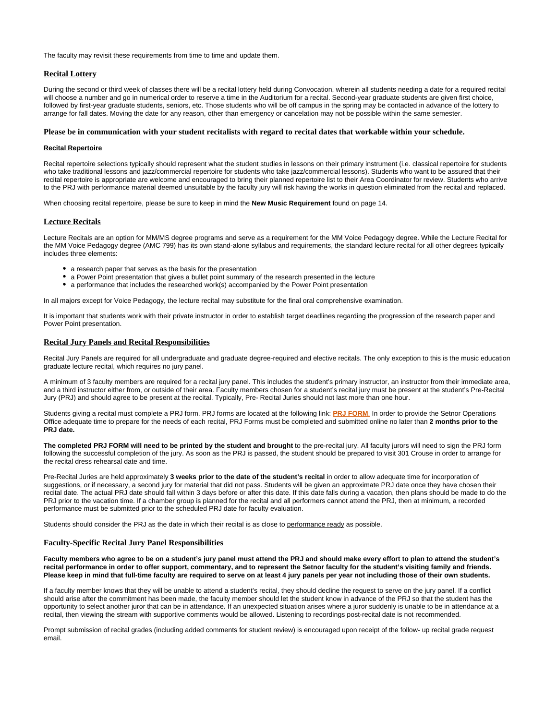The faculty may revisit these requirements from time to time and update them.

### **Recital Lottery**

During the second or third week of classes there will be a recital lottery held during Convocation, wherein all students needing a date for a required recital will choose a number and go in numerical order to reserve a time in the Auditorium for a recital. Second-year graduate students are given first choice, followed by first-year graduate students, seniors, etc. Those students who will be off campus in the spring may be contacted in advance of the lottery to arrange for fall dates. Moving the date for any reason, other than emergency or cancelation may not be possible within the same semester.

#### **Please be in communication with your student recitalists with regard to recital dates that workable within your schedule.**

### **Recital Repertoire**

Recital repertoire selections typically should represent what the student studies in lessons on their primary instrument (i.e. classical repertoire for students who take traditional lessons and jazz/commercial repertoire for students who take jazz/commercial lessons). Students who want to be assured that their recital repertoire is appropriate are welcome and encouraged to bring their planned repertoire list to their Area Coordinator for review. Students who arrive to the PRJ with performance material deemed unsuitable by the faculty jury will risk having the works in question eliminated from the recital and replaced.

When choosing recital repertoire, please be sure to keep in mind the **New Music Requirement** found on page 14.

#### **Lecture Recitals**

Lecture Recitals are an option for MM/MS degree programs and serve as a requirement for the MM Voice Pedagogy degree. While the Lecture Recital for the MM Voice Pedagogy degree (AMC 799) has its own stand-alone syllabus and requirements, the standard lecture recital for all other degrees typically includes three elements:

- a research paper that serves as the basis for the presentation
- a Power Point presentation that gives a bullet point summary of the research presented in the lecture
- a performance that includes the researched work(s) accompanied by the Power Point presentation

In all majors except for Voice Pedagogy, the lecture recital may substitute for the final oral comprehensive examination.

It is important that students work with their private instructor in order to establish target deadlines regarding the progression of the research paper and Power Point presentation.

#### **Recital Jury Panels and Recital Responsibilities**

Recital Jury Panels are required for all undergraduate and graduate degree-required and elective recitals. The only exception to this is the music education graduate lecture recital, which requires no jury panel.

A minimum of 3 faculty members are required for a recital jury panel. This includes the student's primary instructor, an instructor from their immediate area, and a third instructor either from, or outside of their area. Faculty members chosen for a student's recital jury must be present at the student's Pre-Recital Jury (PRJ) and should agree to be present at the recital. Typically, Pre- Recital Juries should not last more than one hour.

Students giving a recital must complete a PRJ form. PRJ forms are located at the following link: **[PRJ FORM](https://its-forms.syr.edu/frevvo/web/tn/VPA/user/mecarlse/app/_L9j2sDxLEeWxmM5q6-jqow/formtype/_MYXaoEDxEeWxmM5q6-jqow/popupform)**. In order to provide the Setnor Operations Office adequate time to prepare for the needs of each recital, PRJ Forms must be completed and submitted online no later than **2 months prior to the PRJ date.**

The completed PRJ FORM will need to be printed by the student and brought to the pre-recital jury. All faculty jurors will need to sign the PRJ form following the successful completion of the jury. As soon as the PRJ is passed, the student should be prepared to visit 301 Crouse in order to arrange for the recital dress rehearsal date and time.

Pre-Recital Juries are held approximately **3 weeks prior to the date of the student's recital** in order to allow adequate time for incorporation of suggestions, or if necessary, a second jury for material that did not pass. Students will be given an approximate PRJ date once they have chosen their recital date. The actual PRJ date should fall within 3 days before or after this date. If this date falls during a vacation, then plans should be made to do the PRJ prior to the vacation time. If a chamber group is planned for the recital and all performers cannot attend the PRJ, then at minimum, a recorded performance must be submitted prior to the scheduled PRJ date for faculty evaluation.

Students should consider the PRJ as the date in which their recital is as close to performance ready as possible.

#### **Faculty-Specific Recital Jury Panel Responsibilities**

**Faculty members who agree to be on a student's jury panel must attend the PRJ and should make every effort to plan to attend the student's recital performance in order to offer support, commentary, and to represent the Setnor faculty for the student's visiting family and friends. Please keep in mind that full-time faculty are required to serve on at least 4 jury panels per year not including those of their own students.**

If a faculty member knows that they will be unable to attend a student's recital, they should decline the request to serve on the jury panel. If a conflict should arise after the commitment has been made, the faculty member should let the student know in advance of the PRJ so that the student has the opportunity to select another juror that can be in attendance. If an unexpected situation arises where a juror suddenly is unable to be in attendance at a recital, then viewing the stream with supportive comments would be allowed. Listening to recordings post-recital date is not recommended.

Prompt submission of recital grades (including added comments for student review) is encouraged upon receipt of the follow- up recital grade request email.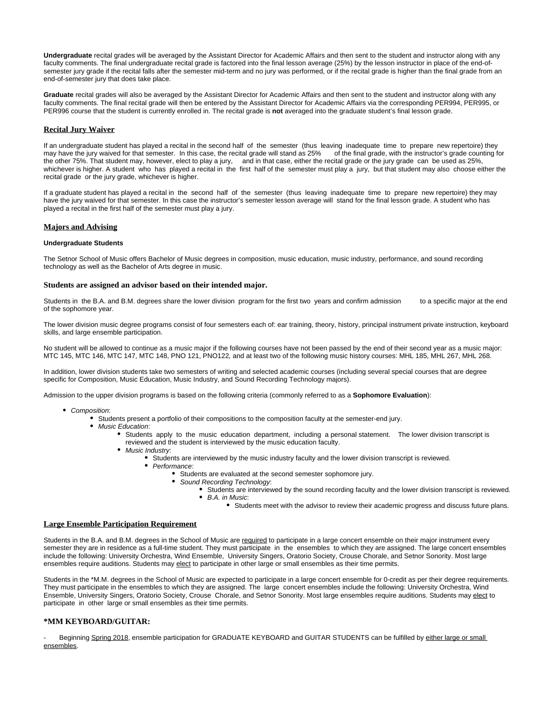**Undergraduate** recital grades will be averaged by the Assistant Director for Academic Affairs and then sent to the student and instructor along with any faculty comments. The final undergraduate recital grade is factored into the final lesson average (25%) by the lesson instructor in place of the end-ofsemester jury grade if the recital falls after the semester mid-term and no jury was performed, or if the recital grade is higher than the final grade from an end-of-semester jury that does take place.

**Graduate** recital grades will also be averaged by the Assistant Director for Academic Affairs and then sent to the student and instructor along with any faculty comments. The final recital grade will then be entered by the Assistant Director for Academic Affairs via the corresponding PER994, PER995, or PER996 course that the student is currently enrolled in. The recital grade is **not** averaged into the graduate student's final lesson grade.

#### **Recital Jury Waiver**

If an undergraduate student has played a recital in the second half of the semester (thus leaving inadequate time to prepare new repertoire) they may have the jury waived for that semester. In this case, the recital grade will stand as 25% of the final grade, with the instructor's grade counting for the other 75%. That student may, however, elect to play a jury, and in that case, either the recital grade or the jury grade can be used as 25%, whichever is higher. A student who has played a recital in the first half of the semester must play a jury, but that student may also choose either the recital grade or the jury grade, whichever is higher.

If a graduate student has played a recital in the second half of the semester (thus leaving inadequate time to prepare new repertoire) they may have the jury waived for that semester. In this case the instructor's semester lesson average will stand for the final lesson grade. A student who has played a recital in the first half of the semester must play a jury.

#### **Majors and Advising**

#### **Undergraduate Students**

The Setnor School of Music offers Bachelor of Music degrees in composition, music education, music industry, performance, and sound recording technology as well as the Bachelor of Arts degree in music.

#### **Students are assigned an advisor based on their intended major.**

Students in the B.A. and B.M. degrees share the lower division program for the first two years and confirm admission to a specific major at the end of the sophomore year.

The lower division music degree programs consist of four semesters each of: ear training, theory, history, principal instrument private instruction, keyboard skills, and large ensemble participation.

No student will be allowed to continue as a music major if the following courses have not been passed by the end of their second year as a music major: MTC 145, MTC 146, MTC 147, MTC 148, PNO 121, PNO122, and at least two of the following music history courses: MHL 185, MHL 267, MHL 268.

In addition, lower division students take two semesters of writing and selected academic courses (including several special courses that are degree specific for Composition, Music Education, Music Industry, and Sound Recording Technology majors).

Admission to the upper division programs is based on the following criteria (commonly referred to as a **Sophomore Evaluation**):

- Composition:
	- Students present a portfolio of their compositions to the composition faculty at the semester-end jury.
	- Music Education:
		- Students apply to the music education department, including a personal statement. The lower division transcript is reviewed and the student is interviewed by the music education faculty.
		- Music Industry:
			- Students are interviewed by the music industry faculty and the lower division transcript is reviewed.
				- Performance:
					- Students are evaluated at the second semester sophomore jury.
						- Sound Recording Technology:
							- Students are interviewed by the sound recording faculty and the lower division transcript is reviewed. B.A. in Music:
								- Students meet with the advisor to review their academic progress and discuss future plans.

### **Large Ensemble Participation Requirement**

Students in the B.A. and B.M. degrees in the School of Music are required to participate in a large concert ensemble on their major instrument every semester they are in residence as a full-time student. They must participate in the ensembles to which they are assigned. The large concert ensembles include the following: University Orchestra, Wind Ensemble, University Singers, Oratorio Society, Crouse Chorale, and Setnor Sonority. Most large ensembles require auditions. Students may elect to participate in other large or small ensembles as their time permits.

Students in the \*M.M. degrees in the School of Music are expected to participate in a large concert ensemble for 0-credit as per their degree requirements. They must participate in the ensembles to which they are assigned. The large concert ensembles include the following: University Orchestra, Wind Ensemble, University Singers, Oratorio Society, Crouse Chorale, and Setnor Sonority. Most large ensembles require auditions. Students may elect to participate in other large or small ensembles as their time permits.

### **\*MM KEYBOARD/GUITAR:**

Beginning Spring 2018, ensemble participation for GRADUATE KEYBOARD and GUITAR STUDENTS can be fulfilled by either large or small ensembles.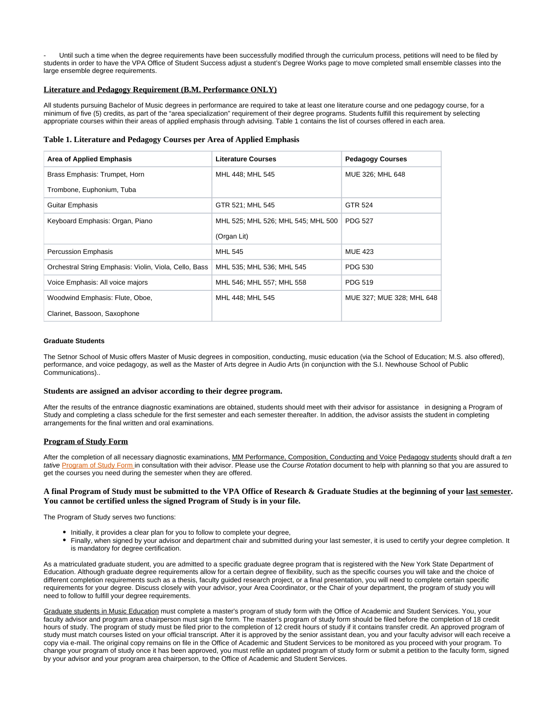Until such a time when the degree requirements have been successfully modified through the curriculum process, petitions will need to be filed by students in order to have the VPA Office of Student Success adjust a student's Degree Works page to move completed small ensemble classes into the large ensemble degree requirements.

### **Literature and Pedagogy Requirement (B.M. Performance ONLY)**

All students pursuing Bachelor of Music degrees in performance are required to take at least one literature course and one pedagogy course, for a minimum of five (5) credits, as part of the "area specialization" requirement of their degree programs. Students fulfill this requirement by selecting appropriate courses within their areas of applied emphasis through advising. Table 1 contains the list of courses offered in each area.

### **Table 1. Literature and Pedagogy Courses per Area of Applied Emphasis**

| <b>Area of Applied Emphasis</b>                        | <b>Literature Courses</b>          | <b>Pedagogy Courses</b>   |
|--------------------------------------------------------|------------------------------------|---------------------------|
| Brass Emphasis: Trumpet, Horn                          | MHL 448; MHL 545                   | MUE 326; MHL 648          |
| Trombone, Euphonium, Tuba                              |                                    |                           |
| Guitar Emphasis                                        | GTR 521; MHL 545                   | GTR 524                   |
| Keyboard Emphasis: Organ, Piano                        | MHL 525; MHL 526; MHL 545; MHL 500 | <b>PDG 527</b>            |
|                                                        | (Organ Lit)                        |                           |
| <b>Percussion Emphasis</b>                             | <b>MHL 545</b>                     | <b>MUE 423</b>            |
| Orchestral String Emphasis: Violin, Viola, Cello, Bass | MHL 535; MHL 536; MHL 545          | <b>PDG 530</b>            |
| Voice Emphasis: All voice majors                       | MHL 546; MHL 557; MHL 558          | <b>PDG 519</b>            |
| Woodwind Emphasis: Flute, Oboe,                        | MHL 448; MHL 545                   | MUE 327; MUE 328; MHL 648 |
| Clarinet, Bassoon, Saxophone                           |                                    |                           |

#### **Graduate Students**

The Setnor School of Music offers Master of Music degrees in composition, conducting, music education (via the School of Education; M.S. also offered), performance, and voice pedagogy, as well as the Master of Arts degree in Audio Arts (in conjunction with the S.I. Newhouse School of Public Communications)..

#### **Students are assigned an advisor according to their degree program.**

After the results of the entrance diagnostic examinations are obtained, students should meet with their advisor for assistance in designing a Program of Study and completing a class schedule for the first semester and each semester thereafter. In addition, the advisor assists the student in completing arrangements for the final written and oral examinations.

#### **Program of Study Form**

After the completion of all necessary diagnostic examinations, MM Performance, Composition, Conducting and Voice Pedagogy students should draft a ten tative [Program of Study Form](http://graduateschool.syr.edu/forms/) in consultation with their advisor. Please use the Course Rotation document to help with planning so that you are assured to get the courses you need during the semester when they are offered.

### **A final Program of Study must be submitted to the VPA Office of Research & Graduate Studies at the beginning of your last semester. You cannot be certified unless the signed Program of Study is in your file.**

The Program of Study serves two functions:

- Initially, it provides a clear plan for you to follow to complete your degree,
- Finally, when signed by your advisor and department chair and submitted during your last semester, it is used to certify your degree completion. It is mandatory for degree certification.

As a matriculated graduate student, you are admitted to a specific graduate degree program that is registered with the New York State Department of Education. Although graduate degree requirements allow for a certain degree of flexibility, such as the specific courses you will take and the choice of different completion requirements such as a thesis, faculty guided research project, or a final presentation, you will need to complete certain specific requirements for your degree. Discuss closely with your advisor, your Area Coordinator, or the Chair of your department, the program of study you will need to follow to fulfill your degree requirements.

Graduate students in Music Education must complete a master's program of study form with the Office of Academic and Student Services. You, your faculty advisor and program area chairperson must sign the form. The master's program of study form should be filed before the completion of 18 credit hours of study. The program of study must be filed prior to the completion of 12 credit hours of study if it contains transfer credit. An approved program of study must match courses listed on your official transcript. After it is approved by the senior assistant dean, you and your faculty advisor will each receive a copy via e-mail. The original copy remains on file in the Office of Academic and Student Services to be monitored as you proceed with your program. To change your program of study once it has been approved, you must refile an updated program of study form or submit a petition to the faculty form, signed by your advisor and your program area chairperson, to the Office of Academic and Student Services.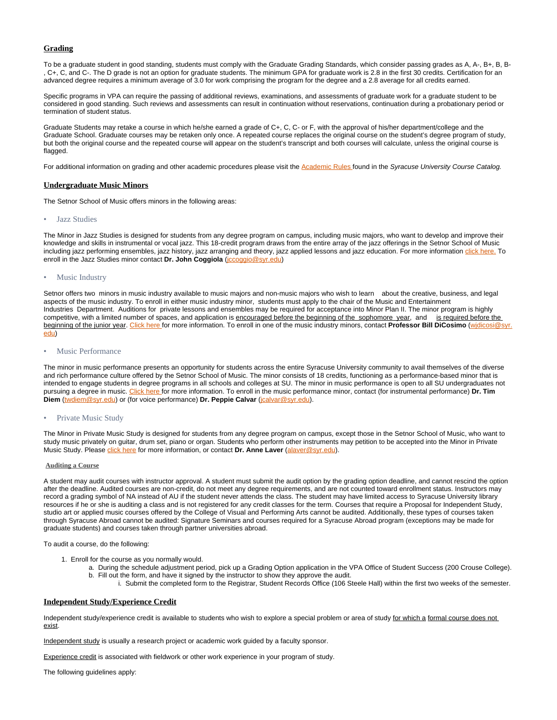### **Grading**

To be a graduate student in good standing, students must comply with the Graduate Grading Standards, which consider passing grades as A, A-, B+, B, B-, C+, C, and C-. The D grade is not an option for graduate students. The minimum GPA for graduate work is 2.8 in the first 30 credits. Certification for an advanced degree requires a minimum average of 3.0 for work comprising the program for the degree and a 2.8 average for all credits earned.

Specific programs in VPA can require the passing of additional reviews, examinations, and assessments of graduate work for a graduate student to be considered in good standing. Such reviews and assessments can result in continuation without reservations, continuation during a probationary period or termination of student status.

Graduate Students may retake a course in which he/she earned a grade of C+, C, C- or F, with the approval of his/her department/college and the Graduate School. Graduate courses may be retaken only once. A repeated course replaces the original course on the student's degree program of study, but both the original course and the repeated course will appear on the student's transcript and both courses will calculate, unless the original course is flagged.

For additional information on grading and other academic procedures please visit the [Academic Rules f](http://coursecatalog.syr.edu/content.php?catoid=18&navoid=2374&24-0)ound in the Syracuse University Course Catalog.

#### **Undergraduate Music Minors**

The Setnor School of Music offers minors in the following areas:

#### • Jazz Studies

The Minor in Jazz Studies is designed for students from any degree program on campus, including music majors, who want to develop and improve their knowledge and skills in instrumental or vocal jazz. This 18-credit program draws from the entire array of the jazz offerings in the Setnor School of Music including jazz performing ensembles, jazz history, jazz arranging and theory, jazz applied lessons and jazz education. For more information [click here.](http://vpa.syr.edu/academics/setnor/minors/jazz-studies) To enroll in the Jazz Studies minor contact **Dr. John Coggiola** ([jccoggio@syr.edu](mailto:jccoggio@syr.edu))

#### • Music Industry

Setnor offers two minors in music industry available to music majors and non-music majors who wish to learn about the creative, business, and legal aspects of the music industry. To enroll in either music industry minor, students must apply to the chair of the Music and Entertainment Industries Department. Auditions for private lessons and ensembles may be required for acceptance into Minor Plan II. The minor program is highly competitive, with a limited number of spaces, and application is encouraged before the beginning of the sophomore year, and is required before the beginning of the junior year. [Click here](http://vpa.syr.edu/academics/setnor/minors/music-industry/) for more information. To enroll in one of the music industry minors, contact **Professor Bill DiCosimo** [\(wjdicosi@syr.](mailto:wjdicosi@syr.edu) [edu\)](mailto:wjdicosi@syr.edu)

### • Music Performance

The minor in music performance presents an opportunity for students across the entire Syracuse University community to avail themselves of the diverse and rich performance culture offered by the Setnor School of Music. The minor consists of 18 credits, functioning as a performance-based minor that is intended to engage students in degree programs in all schools and colleges at SU. The minor in music performance is open to all SU undergraduates not pursuing a degree in music. [Click here f](http://vpa.syr.edu/academics/setnor/minors/music-performance/)or more information. To enroll in the music performance minor, contact (for instrumental performance) **Dr. Tim Diem** ([twdiem@syr.edu\)](mailto:twdiem@syr.edu) or (for voice performance) **Dr. Peppie Calvar** ([jcalvar@syr.edu](mailto:jcalvar@syr.edu)).

#### • Private Music Study

The Minor in Private Music Study is designed for students from any degree program on campus, except those in the Setnor School of Music, who want to study music privately on guitar, drum set, piano or organ. Students who perform other instruments may petition to be accepted into the Minor in Private Music Study. Please [click here](http://vpa.syr.edu/academics/setnor/minors/private-music-study/) for more information, or contact **Dr. Anne Laver** [\(alaver@syr.edu\)](mailto:alaver@syr.edu).

### **Auditing a Course**

A student may audit courses with instructor approval. A student must submit the audit option by the grading option deadline, and cannot rescind the option after the deadline. Audited courses are non-credit, do not meet any degree requirements, and are not counted toward enrollment status. Instructors may record a grading symbol of NA instead of AU if the student never attends the class. The student may have limited access to Syracuse University library resources if he or she is auditing a class and is not registered for any credit classes for the term. Courses that require a Proposal for Independent Study, studio art or applied music courses offered by the College of Visual and Performing Arts cannot be audited. Additionally, these types of courses taken through Syracuse Abroad cannot be audited: Signature Seminars and courses required for a Syracuse Abroad program (exceptions may be made for graduate students) and courses taken through partner universities abroad.

To audit a course, do the following:

- 1. Enroll for the course as you normally would.
	- a. During the schedule adjustment period, pick up a Grading Option application in the VPA Office of Student Success (200 Crouse College). b. Fill out the form, and have it signed by the instructor to show they approve the audit.
		- i. Submit the completed form to the Registrar, Student Records Office (106 Steele Hall) within the first two weeks of the semester.

#### **Independent Study/Experience Credit**

Independent study/experience credit is available to students who wish to explore a special problem or area of study for which a formal course does not exist.

Independent study is usually a research project or academic work guided by a faculty sponsor.

Experience credit is associated with fieldwork or other work experience in your program of study.

The following guidelines apply: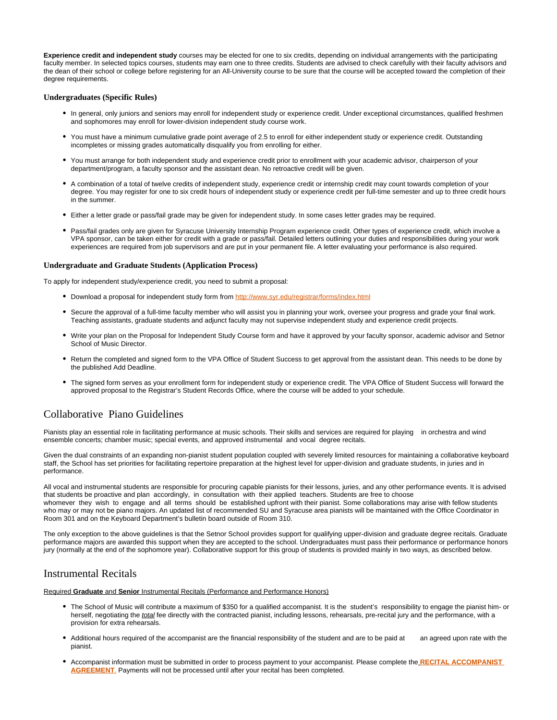**Experience credit and independent study** courses may be elected for one to six credits, depending on individual arrangements with the participating faculty member. In selected topics courses, students may earn one to three credits. Students are advised to check carefully with their faculty advisors and the dean of their school or college before registering for an All-University course to be sure that the course will be accepted toward the completion of their degree requirements.

#### **Undergraduates (Specific Rules)**

- In general, only juniors and seniors may enroll for independent study or experience credit. Under exceptional circumstances, qualified freshmen and sophomores may enroll for lower-division independent study course work.
- You must have a minimum cumulative grade point average of 2.5 to enroll for either independent study or experience credit. Outstanding incompletes or missing grades automatically disqualify you from enrolling for either.
- You must arrange for both independent study and experience credit prior to enrollment with your academic advisor, chairperson of your department/program, a faculty sponsor and the assistant dean. No retroactive credit will be given.
- A combination of a total of twelve credits of independent study, experience credit or internship credit may count towards completion of your degree. You may register for one to six credit hours of independent study or experience credit per full-time semester and up to three credit hours in the summer.
- Either a letter grade or pass/fail grade may be given for independent study. In some cases letter grades may be required.
- Pass/fail grades only are given for Syracuse University Internship Program experience credit. Other types of experience credit, which involve a VPA sponsor, can be taken either for credit with a grade or pass/fail. Detailed letters outlining your duties and responsibilities during your work experiences are required from job supervisors and are put in your permanent file. A letter evaluating your performance is also required.

### **Undergraduate and Graduate Students (Application Process)**

To apply for independent study/experience credit, you need to submit a proposal:

- Download a proposal for independent study form from <http://www.syr.edu/registrar/forms/index.html>
- Secure the approval of a full-time faculty member who will assist you in planning your work, oversee your progress and grade your final work. Teaching assistants, graduate students and adjunct faculty may not supervise independent study and experience credit projects.
- Write your plan on the Proposal for Independent Study Course form and have it approved by your faculty sponsor, academic advisor and Setnor School of Music Director.
- Return the completed and signed form to the VPA Office of Student Success to get approval from the assistant dean. This needs to be done by the published Add Deadline.
- The signed form serves as your enrollment form for independent study or experience credit. The VPA Office of Student Success will forward the approved proposal to the Registrar's Student Records Office, where the course will be added to your schedule.

# Collaborative Piano Guidelines

Pianists play an essential role in facilitating performance at music schools. Their skills and services are required for playing in orchestra and wind ensemble concerts; chamber music; special events, and approved instrumental and vocal degree recitals.

Given the dual constraints of an expanding non-pianist student population coupled with severely limited resources for maintaining a collaborative keyboard staff, the School has set priorities for facilitating repertoire preparation at the highest level for upper-division and graduate students, in juries and in performance.

All vocal and instrumental students are responsible for procuring capable pianists for their lessons, juries, and any other performance events. It is advised that students be proactive and plan accordingly, in consultation with their applied teachers. Students are free to choose whomever they wish to engage and all terms should be established upfront with their pianist. Some collaborations may arise with fellow students who may or may not be piano majors. An updated list of recommended SU and Syracuse area pianists will be maintained with the Office Coordinator in Room 301 and on the Keyboard Department's bulletin board outside of Room 310.

The only exception to the above guidelines is that the Setnor School provides support for qualifying upper-division and graduate degree recitals. Graduate performance majors are awarded this support when they are accepted to the school. Undergraduates must pass their performance or performance honors jury (normally at the end of the sophomore year). Collaborative support for this group of students is provided mainly in two ways, as described below.

# Instrumental Recitals

Required **Graduate** and **Senior** Instrumental Recitals (Performance and Performance Honors)

- The School of Music will contribute a maximum of \$350 for a qualified accompanist. It is the student's responsibility to engage the pianist him- or herself, negotiating the total fee directly with the contracted pianist, including lessons, rehearsals, pre-recital jury and the performance, with a provision for extra rehearsals.
- Additional hours required of the accompanist are the financial responsibility of the student and are to be paid at an agreed upon rate with the pianist.
- Accompanist information must be submitted in order to process payment to your accompanist. Please complete the **[RECITAL ACCOMPANIST](https://its-forms.syr.edu/frevvo/web/tn/VPA/user/mecarlse/app/_L9j2sDxLEeWxmM5q6-jqow/formtype/_miI5sGh3EeaqzbUfLcBjSQ/popupform)  [AGREEMENT](https://its-forms.syr.edu/frevvo/web/tn/VPA/user/mecarlse/app/_L9j2sDxLEeWxmM5q6-jqow/formtype/_miI5sGh3EeaqzbUfLcBjSQ/popupform)**. Payments will not be processed until after your recital has been completed.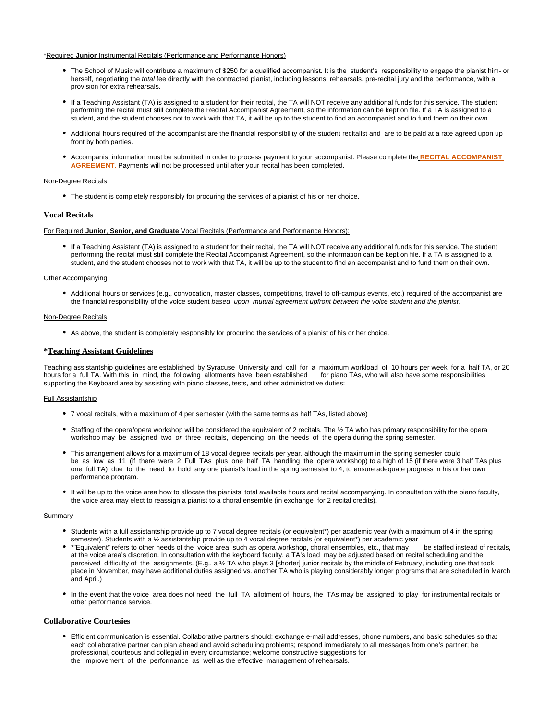#### \*Required **Junior** Instrumental Recitals (Performance and Performance Honors)

- The School of Music will contribute a maximum of \$250 for a qualified accompanist. It is the student's responsibility to engage the pianist him- or herself, negotiating the total fee directly with the contracted pianist, including lessons, rehearsals, pre-recital jury and the performance, with a provision for extra rehearsals.
- If a Teaching Assistant (TA) is assigned to a student for their recital, the TA will NOT receive any additional funds for this service. The student performing the recital must still complete the Recital Accompanist Agreement, so the information can be kept on file. If a TA is assigned to a student, and the student chooses not to work with that TA, it will be up to the student to find an accompanist and to fund them on their own.
- Additional hours required of the accompanist are the financial responsibility of the student recitalist and are to be paid at a rate agreed upon up front by both parties.
- Accompanist information must be submitted in order to process payment to your accompanist. Please complete the **[RECITAL ACCOMPANIST](https://its-forms.syr.edu/frevvo/web/tn/VPA/user/mecarlse/app/_L9j2sDxLEeWxmM5q6-jqow/formtype/_miI5sGh3EeaqzbUfLcBjSQ/popupform)  [AGREEMENT](https://its-forms.syr.edu/frevvo/web/tn/VPA/user/mecarlse/app/_L9j2sDxLEeWxmM5q6-jqow/formtype/_miI5sGh3EeaqzbUfLcBjSQ/popupform)**. Payments will not be processed until after your recital has been completed.

#### Non-Degree Recitals

The student is completely responsibly for procuring the services of a pianist of his or her choice.

#### **Vocal Recitals**

#### For Required **Junior**, **Senior, and Graduate** Vocal Recitals (Performance and Performance Honors):

If a Teaching Assistant (TA) is assigned to a student for their recital, the TA will NOT receive any additional funds for this service. The student performing the recital must still complete the Recital Accompanist Agreement, so the information can be kept on file. If a TA is assigned to a student, and the student chooses not to work with that TA, it will be up to the student to find an accompanist and to fund them on their own.

### Other Accompanying

Additional hours or services (e.g., convocation, master classes, competitions, travel to off-campus events, etc.) required of the accompanist are the financial responsibility of the voice student based upon mutual agreement upfront between the voice student and the pianist.

#### Non-Degree Recitals

As above, the student is completely responsibly for procuring the services of a pianist of his or her choice.

#### **\*Teaching Assistant Guidelines**

Teaching assistantship guidelines are established by Syracuse University and call for a maximum workload of 10 hours per week for a half TA, or 20 hours for a full TA. With this in mind, the following allotments have been established for piano TAs, who will also have some responsibilities supporting the Keyboard area by assisting with piano classes, tests, and other administrative duties:

#### Full Assistantship

- 7 vocal recitals, with a maximum of 4 per semester (with the same terms as half TAs, listed above)
- Staffing of the opera/opera workshop will be considered the equivalent of 2 recitals. The 1/2 TA who has primary responsibility for the opera workshop may be assigned two or three recitals, depending on the needs of the opera during the spring semester.
- This arrangement allows for a maximum of 18 vocal degree recitals per year, although the maximum in the spring semester could be as low as 11 (if there were 2 Full TAs plus one half TA handling the opera workshop) to a high of 15 (if there were 3 half TAs plus one full TA) due to the need to hold any one pianist's load in the spring semester to 4, to ensure adequate progress in his or her own performance program.
- It will be up to the voice area how to allocate the pianists' total available hours and recital accompanying. In consultation with the piano faculty, the voice area may elect to reassign a pianist to a choral ensemble (in exchange for 2 recital credits).

#### Summary

- Students with a full assistantship provide up to 7 vocal degree recitals (or equivalent\*) per academic year (with a maximum of 4 in the spring semester). Students with a ½ assistantship provide up to 4 vocal degree recitals (or equivalent\*) per academic year
- \*"Equivalent" refers to other needs of the voice area such as opera workshop, choral ensembles, etc., that may be staffed instead of recitals, at the voice area's discretion. In consultation with the keyboard faculty, a TA's load may be adjusted based on recital scheduling and the perceived difficulty of the assignments. (E.g., a ½ TA who plays 3 [shorter] junior recitals by the middle of February, including one that took place in November, may have additional duties assigned vs. another TA who is playing considerably longer programs that are scheduled in March and April.)
- In the event that the voice area does not need the full TA allotment of hours, the TAs may be assigned to play for instrumental recitals or other performance service.

### **Collaborative Courtesies**

Efficient communication is essential. Collaborative partners should: exchange e-mail addresses, phone numbers, and basic schedules so that each collaborative partner can plan ahead and avoid scheduling problems; respond immediately to all messages from one's partner; be professional, courteous and collegial in every circumstance; welcome constructive suggestions for the improvement of the performance as well as the effective management of rehearsals.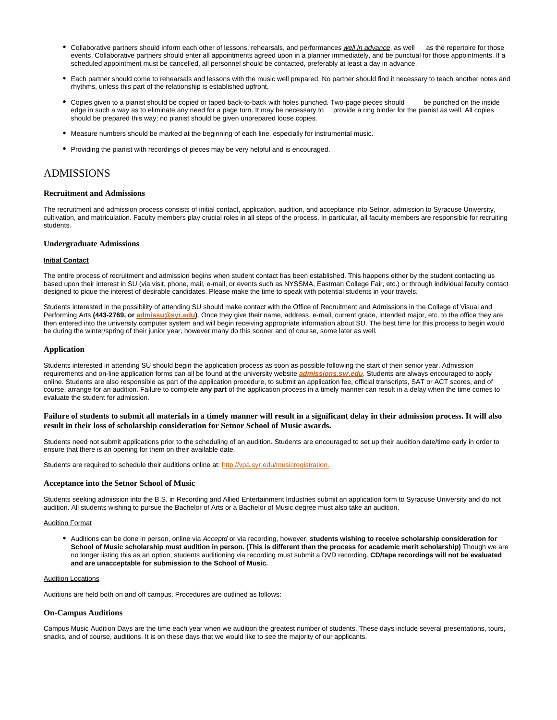- Collaborative partners should inform each other of lessons, rehearsals, and performances well in advance, as well as the repertoire for those events. Collaborative partners should enter all appointments agreed upon in a planner immediately, and be punctual for those appointments. If a scheduled appointment must be cancelled, all personnel should be contacted, preferably at least a day in advance.
- Each partner should come to rehearsals and lessons with the music well prepared. No partner should find it necessary to teach another notes and rhythms, unless this part of the relationship is established upfront.
- Copies given to a pianist should be copied or taped back-to-back with holes punched. Two-page pieces should be punched on the inside edge in such a way as to eliminate any need for a page turn. It may be necessary to provide a ring binder for the pianist as well. All copies should be prepared this way; no pianist should be given unprepared loose copies.
- Measure numbers should be marked at the beginning of each line, especially for instrumental music.
- Providing the pianist with recordings of pieces may be very helpful and is encouraged.

# ADMISSIONS

#### **Recruitment and Admissions**

The recruitment and admission process consists of initial contact, application, audition, and acceptance into Setnor, admission to Syracuse University, cultivation, and matriculation. Faculty members play crucial roles in all steps of the process. In particular, all faculty members are responsible for recruiting students.

### **Undergraduate Admissions**

#### **Initial Contact**

The entire process of recruitment and admission begins when student contact has been established. This happens either by the student contacting us based upon their interest in SU (via visit, phone, mail, e-mail, or events such as NYSSMA, Eastman College Fair, etc.) or through individual faculty contact designed to pique the interest of desirable candidates. Please make the time to speak with potential students in your travels.

Students interested in the possibility of attending SU should make contact with the Office of Recruitment and Admissions in the College of Visual and Performing Arts (443-2769, or [admissu@syr.edu\)](mailto:admissu@syr.edu). Once they give their name, address, e-mail, current grade, intended major, etc. to the office they are then entered into the university computer system and will begin receiving appropriate information about SU. The best time for this process to begin would be during the winter/spring of their junior year, however many do this sooner and of course, some later as well.

#### **Application**

Students interested in attending SU should begin the application process as soon as possible following the start of their senior year. Admission requirements and on-line application forms can all be found at the university website **[admissions.syr.edu](http://admissions.syr.edu)**. Students are always encouraged to apply online. Students are also responsible as part of the application procedure, to submit an application fee, official transcripts, SAT or ACT scores, and of course, arrange for an audition. Failure to complete **any part** of the application process in a timely manner can result in a delay when the time comes to evaluate the student for admission.

### **Failure of students to submit all materials in a timely manner will result in a significant delay in their admission process. It will also result in their loss of scholarship consideration for Setnor School of Music awards.**

Students need not submit applications prior to the scheduling of an audition. Students are encouraged to set up their audition date/time early in order to ensure that there is an opening for them on their available date.

Students are required to schedule their auditions online at: [http://vpa.syr.edu/musicregistration.](http://vpa.syr.edu/musicregistration)

### **Acceptance into the Setnor School of Music**

Students seeking admission into the B.S. in Recording and Allied Entertainment Industries submit an application form to Syracuse University and do not audition. All students wishing to pursue the Bachelor of Arts or a Bachelor of Music degree must also take an audition.

### Audition Format

Auditions can be done in person, online via Acceptd or via recording, however, **students wishing to receive scholarship consideration for School of Music scholarship must audition in person. (This is different than the process for academic merit scholarship)** Though we are no longer listing this as an option, students auditioning via recording must submit a DVD recording. **CD/tape recordings will not be evaluated and are unacceptable for submission to the School of Music.**

#### Audition Locations

Auditions are held both on and off campus. Procedures are outlined as follows:

#### **On-Campus Auditions**

Campus Music Audition Days are the time each year when we audition the greatest number of students. These days include several presentations, tours, snacks, and of course, auditions. It is on these days that we would like to see the majority of our applicants.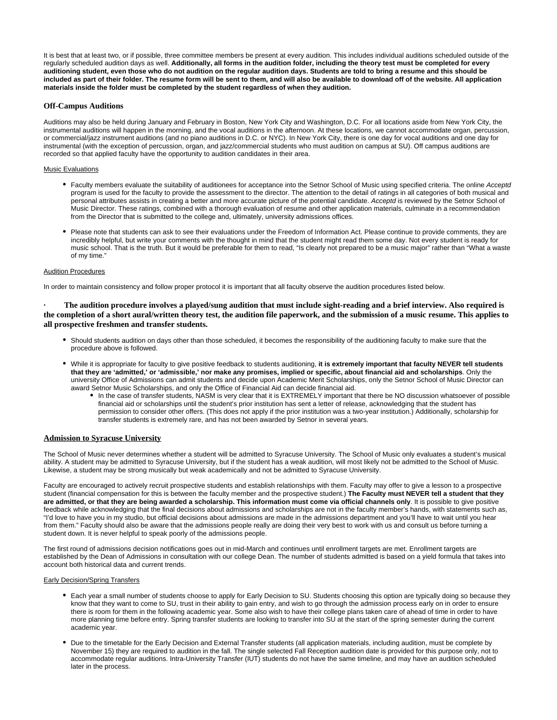It is best that at least two, or if possible, three committee members be present at every audition. This includes individual auditions scheduled outside of the regularly scheduled audition days as well. **Additionally, all forms in the audition folder, including the theory test must be completed for every auditioning student, even those who do not audition on the regular audition days. Students are told to bring a resume and this should be included as part of their folder. The resume form will be sent to them, and will also be available to download off of the website. All application materials inside the folder must be completed by the student regardless of when they audition.**

### **Off-Campus Auditions**

Auditions may also be held during January and February in Boston, New York City and Washington, D.C. For all locations aside from New York City, the instrumental auditions will happen in the morning, and the vocal auditions in the afternoon. At these locations, we cannot accommodate organ, percussion, or commercial/jazz instrument auditions (and no piano auditions in D.C. or NYC). In New York City, there is one day for vocal auditions and one day for instrumental (with the exception of percussion, organ, and jazz/commercial students who must audition on campus at SU). Off campus auditions are recorded so that applied faculty have the opportunity to audition candidates in their area.

#### Music Evaluations

- Faculty members evaluate the suitability of auditionees for acceptance into the Setnor School of Music using specified criteria. The online Acceptd program is used for the faculty to provide the assessment to the director. The attention to the detail of ratings in all categories of both musical and personal attributes assists in creating a better and more accurate picture of the potential candidate. Acceptd is reviewed by the Setnor School of Music Director. These ratings, combined with a thorough evaluation of resume and other application materials, culminate in a recommendation from the Director that is submitted to the college and, ultimately, university admissions offices.
- Please note that students can ask to see their evaluations under the Freedom of Information Act. Please continue to provide comments, they are incredibly helpful, but write your comments with the thought in mind that the student might read them some day. Not every student is ready for music school. That is the truth. But it would be preferable for them to read, "Is clearly not prepared to be a music major" rather than "What a waste of my time."

#### Audition Procedures

In order to maintain consistency and follow proper protocol it is important that all faculty observe the audition procedures listed below.

**· The audition procedure involves a played/sung audition that must include sight-reading and a brief interview. Also required is the completion of a short aural/written theory test, the audition file paperwork, and the submission of a music resume. This applies to all prospective freshmen and transfer students.**

- Should students audition on days other than those scheduled, it becomes the responsibility of the auditioning faculty to make sure that the procedure above is followed.
- While it is appropriate for faculty to give positive feedback to students auditioning, **it is extremely important that faculty NEVER tell students that they are 'admitted,' or 'admissible,' nor make any promises, implied or specific, about financial aid and scholarships**. Only the university Office of Admissions can admit students and decide upon Academic Merit Scholarships, only the Setnor School of Music Director can award Setnor Music Scholarships, and only the Office of Financial Aid can decide financial aid.
	- In the case of transfer students, NASM is very clear that it is EXTREMELY important that there be NO discussion whatsoever of possible financial aid or scholarships until the student's prior institution has sent a letter of release, acknowledging that the student has permission to consider other offers. (This does not apply if the prior institution was a two-year institution.) Additionally, scholarship for transfer students is extremely rare, and has not been awarded by Setnor in several years.

### **Admission to Syracuse University**

The School of Music never determines whether a student will be admitted to Syracuse University. The School of Music only evaluates a student's musical ability. A student may be admitted to Syracuse University, but if the student has a weak audition, will most likely not be admitted to the School of Music. Likewise, a student may be strong musically but weak academically and not be admitted to Syracuse University.

Faculty are encouraged to actively recruit prospective students and establish relationships with them. Faculty may offer to give a lesson to a prospective student (financial compensation for this is between the faculty member and the prospective student.) **The Faculty must NEVER tell a student that they are admitted, or that they are being awarded a scholarship. This information must come via official channels only**. It is possible to give positive feedback while acknowledging that the final decisions about admissions and scholarships are not in the faculty member's hands, with statements such as, "I'd love to have you in my studio, but official decisions about admissions are made in the admissions department and you'll have to wait until you hear from them." Faculty should also be aware that the admissions people really are doing their very best to work with us and consult us before turning a student down. It is never helpful to speak poorly of the admissions people.

The first round of admissions decision notifications goes out in mid-March and continues until enrollment targets are met. Enrollment targets are established by the Dean of Admissions in consultation with our college Dean. The number of students admitted is based on a yield formula that takes into account both historical data and current trends.

#### Early Decision/Spring Transfers

- Each year a small number of students choose to apply for Early Decision to SU. Students choosing this option are typically doing so because they know that they want to come to SU, trust in their ability to gain entry, and wish to go through the admission process early on in order to ensure there is room for them in the following academic year. Some also wish to have their college plans taken care of ahead of time in order to have more planning time before entry. Spring transfer students are looking to transfer into SU at the start of the spring semester during the current academic year.
- Due to the timetable for the Early Decision and External Transfer students (all application materials, including audition, must be complete by November 15) they are required to audition in the fall. The single selected Fall Reception audition date is provided for this purpose only, not to accommodate regular auditions. Intra-University Transfer (IUT) students do not have the same timeline, and may have an audition scheduled later in the process.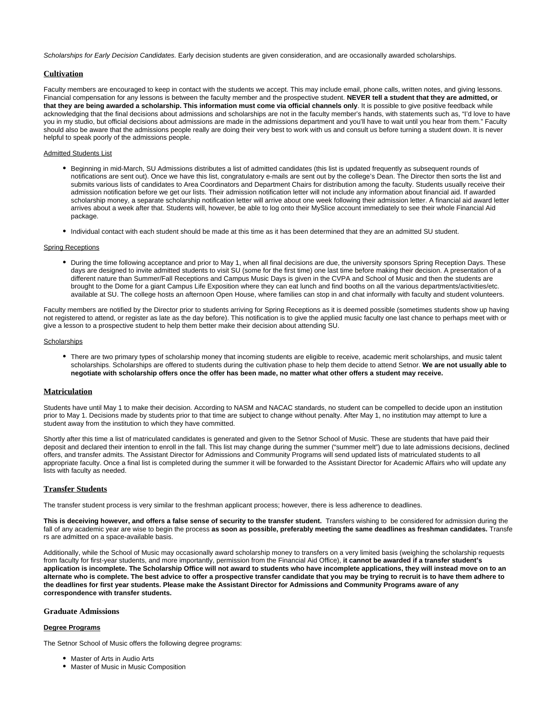Scholarships for Early Decision Candidates. Early decision students are given consideration, and are occasionally awarded scholarships.

### **Cultivation**

Faculty members are encouraged to keep in contact with the students we accept. This may include email, phone calls, written notes, and giving lessons. Financial compensation for any lessons is between the faculty member and the prospective student. **NEVER tell a student that they are admitted, or that they are being awarded a scholarship. This information must come via official channels only**. It is possible to give positive feedback while acknowledging that the final decisions about admissions and scholarships are not in the faculty member's hands, with statements such as, "I'd love to have you in my studio, but official decisions about admissions are made in the admissions department and you'll have to wait until you hear from them." Faculty should also be aware that the admissions people really are doing their very best to work with us and consult us before turning a student down. It is never helpful to speak poorly of the admissions people.

#### Admitted Students List

- Beginning in mid-March, SU Admissions distributes a list of admitted candidates (this list is updated frequently as subsequent rounds of notifications are sent out). Once we have this list, congratulatory e-mails are sent out by the college's Dean. The Director then sorts the list and submits various lists of candidates to Area Coordinators and Department Chairs for distribution among the faculty. Students usually receive their admission notification before we get our lists. Their admission notification letter will not include any information about financial aid. If awarded scholarship money, a separate scholarship notification letter will arrive about one week following their admission letter. A financial aid award letter arrives about a week after that. Students will, however, be able to log onto their MySlice account immediately to see their whole Financial Aid package.
- Individual contact with each student should be made at this time as it has been determined that they are an admitted SU student.

#### Spring Receptions

During the time following acceptance and prior to May 1, when all final decisions are due, the university sponsors Spring Reception Days. These days are designed to invite admitted students to visit SU (some for the first time) one last time before making their decision. A presentation of a different nature than Summer/Fall Receptions and Campus Music Days is given in the CVPA and School of Music and then the students are brought to the Dome for a giant Campus Life Exposition where they can eat lunch and find booths on all the various departments/activities/etc. available at SU. The college hosts an afternoon Open House, where families can stop in and chat informally with faculty and student volunteers.

Faculty members are notified by the Director prior to students arriving for Spring Receptions as it is deemed possible (sometimes students show up having not registered to attend, or register as late as the day before). This notification is to give the applied music faculty one last chance to perhaps meet with or give a lesson to a prospective student to help them better make their decision about attending SU.

#### **Scholarships**

There are two primary types of scholarship money that incoming students are eligible to receive, academic merit scholarships, and music talent scholarships. Scholarships are offered to students during the cultivation phase to help them decide to attend Setnor. **We are not usually able to negotiate with scholarship offers once the offer has been made, no matter what other offers a student may receive.**

### **Matriculation**

Students have until May 1 to make their decision. According to NASM and NACAC standards, no student can be compelled to decide upon an institution prior to May 1. Decisions made by students prior to that time are subject to change without penalty. After May 1, no institution may attempt to lure a student away from the institution to which they have committed.

Shortly after this time a list of matriculated candidates is generated and given to the Setnor School of Music. These are students that have paid their deposit and declared their intention to enroll in the fall. This list may change during the summer ("summer melt") due to late admissions decisions, declined offers, and transfer admits. The Assistant Director for Admissions and Community Programs will send updated lists of matriculated students to all appropriate faculty. Once a final list is completed during the summer it will be forwarded to the Assistant Director for Academic Affairs who will update any lists with faculty as needed.

#### **Transfer Students**

The transfer student process is very similar to the freshman applicant process; however, there is less adherence to deadlines.

This is deceiving however, and offers a false sense of security to the transfer student. Transfers wishing to be considered for admission during the fall of any academic year are wise to begin the process **as soon as possible, preferably meeting the same deadlines as freshman candidates.** Transfe rs are admitted on a space-available basis.

Additionally, while the School of Music may occasionally award scholarship money to transfers on a very limited basis (weighing the scholarship requests from faculty for first-year students, and more importantly, permission from the Financial Aid Office), **it cannot be awarded if a transfer student's application is incomplete. The Scholarship Office will not award to students who have incomplete applications, they will instead move on to an alternate who is complete. The best advice to offer a prospective transfer candidate that you may be trying to recruit is to have them adhere to the deadlines for first year students. Please make the Assistant Director for Admissions and Community Programs aware of any correspondence with transfer students.**

#### **Graduate Admissions**

#### **Degree Programs**

The Setnor School of Music offers the following degree programs:

- Master of Arts in Audio Arts
- **Master of Music in Music Composition**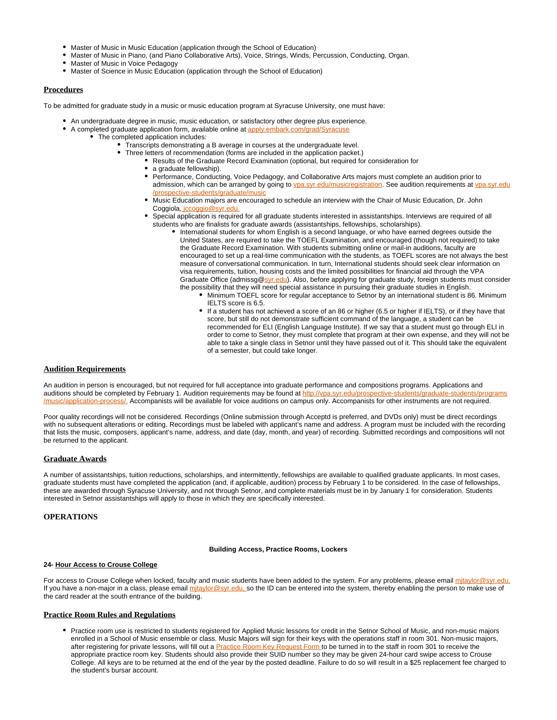- Master of Music in Music Education (application through the School of Education)
- Master of Music in Piano, (and Piano Collaborative Arts), Voice, Strings, Winds, Percussion, Conducting, Organ.
- Master of Music in Voice Pedagogy
- Master of Science in Music Education (application through the School of Education)

### **Procedures**

To be admitted for graduate study in a music or music education program at Syracuse University, one must have:

- An undergraduate degree in music, music education, or satisfactory other degree plus experience.
- A completed graduate application form, available online at [apply.embark.com/grad/Syracuse](http://apply.embark.com/grad/Syracuse)
	- The completed application includes:
		- Transcripts demonstrating a B average in courses at the undergraduate level.
			- Three letters of recommendation (forms are included in the application packet.)
				- Results of the Graduate Record Examination (optional, but required for consideration for
					- a graduate fellowship).
					- $\bullet$ Performance, Conducting, Voice Pedagogy, and Collaborative Arts majors must complete an audition prior to admission, which can be arranged by going to [vpa.syr.edu/musicregistration](http://vpa.syr.edu/musicregistration). See audition requirements at [vpa.syr.edu](http://vpa.syr.edu/prospective-students/graduate/music) [/prospective-students/graduate/music](http://vpa.syr.edu/prospective-students/graduate/music)
					- Music Education majors are encouraged to schedule an interview with the Chair of Music Education, Dr. John Coggiola, iccoggio@syr.edu.
					- Special application is required for all graduate students interested in assistantships. Interviews are required of all students who are finalists for graduate awards (assistantships, fellowships, scholarships).
						- International students for whom English is a second language, or who have earned degrees outside the United States, are required to take the TOEFL Examination, and encouraged (though not required) to take the Graduate Record Examination. With students submitting online or mail-in auditions, faculty are encouraged to set up a real-time communication with the students, as TOEFL scores are not always the best measure of conversational communication. In turn, International students should seek clear information on visa requirements, tuition, housing costs and the limited possibilities for financial aid through the VPA Graduate Office (admissg[@syr.edu\)](http://syr.edu). Also, before applying for graduate study, foreign students must consider the possibility that they will need special assistance in pursuing their graduate studies in English.
							- Minimum TOEFL score for regular acceptance to Setnor by an international student is 86. Minimum IELTS score is 6.5.
							- If a student has not achieved a score of an 86 or higher (6.5 or higher if IELTS), or if they have that score, but still do not demonstrate sufficient command of the language, a student can be recommended for ELI (English Language Institute). If we say that a student must go through ELI in order to come to Setnor, they must complete that program at their own expense, and they will not be able to take a single class in Setnor until they have passed out of it. This should take the equivalent of a semester, but could take longer.

#### **Audition Requirements**

An audition in person is encouraged, but not required for full acceptance into graduate performance and compositions programs. Applications and auditions should be completed by February 1. Audition requirements may be found at http://vpa.syr.edu/pro ation-process/. Accompanists will be available for voice auditions on campus only. Accompanists for other instruments are not required.

Poor quality recordings will not be considered. Recordings (Online submission through Acceptd is preferred, and DVDs only) must be direct recordings with no subsequent alterations or editing. Recordings must be labeled with applicant's name and address. A program must be included with the recording that lists the music, composers, applicant's name, address, and date (day, month, and year) of recording. Submitted recordings and compositions will not be returned to the applicant.

### **Graduate Awards**

A number of assistantships, tuition reductions, scholarships, and intermittently, fellowships are available to qualified graduate applicants. In most cases, graduate students must have completed the application (and, if applicable, audition) process by February 1 to be considered. In the case of fellowships, these are awarded through Syracuse University, and not through Setnor, and complete materials must be in by January 1 for consideration. Students interested in Setnor assistantships will apply to those in which they are specifically interested.

### **OPERATIONS**

### **Building Access, Practice Rooms, Lockers**

#### **24- Hour Access to Crouse College**

For access to Crouse College when locked, faculty and music students have been added to the system. For any problems, please email mitaylor@syr.edu. If you have a non-major in a class, please email mitaylor@syr.edu, so the ID can be entered into the system, thereby enabling the person to make use of the card reader at the south entrance of the building.

### **Practice Room Rules and Regulations**

Practice room use is restricted to students registered for Applied Music lessons for credit in the Setnor School of Music, and non-music majors enrolled in a School of Music ensemble or class. Music Majors will sign for their keys with the operations staff in room 301. Non-music majors, after registering for private lessons, will fill out a **Practice Room Key Request Form** to be turned in to the staff in room 301 to receive the appropriate practice room key. Students should also provide their SUID number so they may be given 24-hour card swipe access to Crouse College. All keys are to be returned at the end of the year by the posted deadline. Failure to do so will result in a \$25 replacement fee charged to the student's bursar account.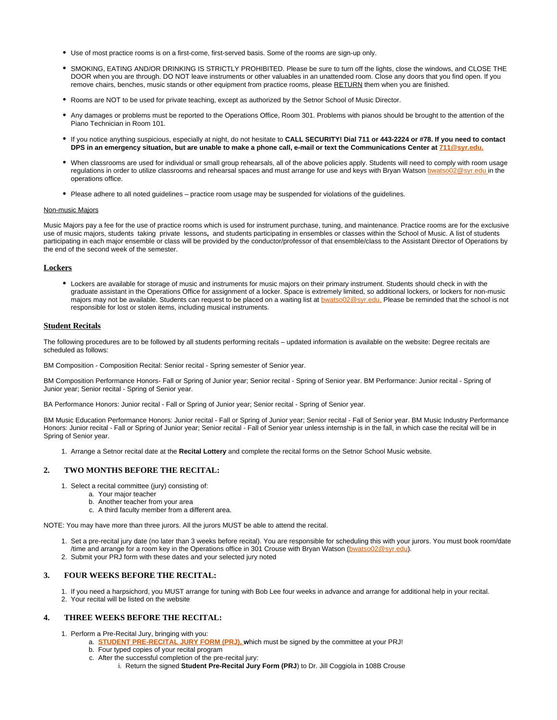- Use of most practice rooms is on a first-come, first-served basis. Some of the rooms are sign-up only.
- SMOKING, EATING AND/OR DRINKING IS STRICTLY PROHIBITED. Please be sure to turn off the lights, close the windows, and CLOSE THE DOOR when you are through. DO NOT leave instruments or other valuables in an unattended room. Close any doors that you find open. If you remove chairs, benches, music stands or other equipment from practice rooms, please RETURN them when you are finished.
- Rooms are NOT to be used for private teaching, except as authorized by the Setnor School of Music Director.
- Any damages or problems must be reported to the Operations Office, Room 301. Problems with pianos should be brought to the attention of the Piano Technician in Room 101.
- If you notice anything suspicious, especially at night, do not hesitate to **CALL SECURITY! Dial 711 or 443-2224 or #78. If you need to contact DPS in an emergency situation, but are unable to make a phone call, e-mail or text the Communications Center at**  $\frac{711@svr.edu}{21}$
- When classrooms are used for individual or small group rehearsals, all of the above policies apply. Students will need to comply with room usage regulations in order to utilize classrooms and rehearsal spaces and must arrange for use and keys with Bryan Watson [bwatso02@syr.edu i](mailto:bwatso02@syr.edu)n the operations office.
- Please adhere to all noted quidelines practice room usage may be suspended for violations of the quidelines.

#### Non-music Majors

Music Majors pay a fee for the use of practice rooms which is used for instrument purchase, tuning, and maintenance. Practice rooms are for the exclusive use of music majors, students taking private lessons**,** and students participating in ensembles or classes within the School of Music. A list of students participating in each major ensemble or class will be provided by the conductor/professor of that ensemble/class to the Assistant Director of Operations by the end of the second week of the semester.

### **Lockers**

Lockers are available for storage of music and instruments for music majors on their primary instrument. Students should check in with the graduate assistant in the Operations Office for assignment of a locker. Space is extremely limited, so additional lockers, or lockers for non-music majors may not be available. Students can request to be placed on a waiting list at **bwatso02@syr.edu.** Please be reminded that the school is not responsible for lost or stolen items, including musical instruments.

#### **Student Recitals**

The following procedures are to be followed by all students performing recitals – updated information is available on the website: Degree recitals are scheduled as follows:

BM Composition - Composition Recital: Senior recital - Spring semester of Senior year.

BM Composition Performance Honors- Fall or Spring of Junior year; Senior recital - Spring of Senior year. BM Performance: Junior recital - Spring of Junior year; Senior recital - Spring of Senior year.

BA Performance Honors: Junior recital - Fall or Spring of Junior year; Senior recital - Spring of Senior year.

BM Music Education Performance Honors: Junior recital - Fall or Spring of Junior year; Senior recital - Fall of Senior year. BM Music Industry Performance Honors: Junior recital - Fall or Spring of Junior year; Senior recital - Fall of Senior year unless internship is in the fall, in which case the recital will be in Spring of Senior year.

1. Arrange a Setnor recital date at the **Recital Lottery** and complete the recital forms on the Setnor School Music website.

### **2. TWO MONTHS BEFORE THE RECITAL:**

- 1. Select a recital committee (jury) consisting of:
	- a. Your major teacher
	- b. Another teacher from your area
	- c. A third faculty member from a different area.

NOTE: You may have more than three jurors. All the jurors MUST be able to attend the recital.

- 1. Set a pre-recital jury date (no later than 3 weeks before recital). You are responsible for scheduling this with your jurors. You must book room/date /time and arrange for a room key in the Operations office in 301 Crouse with Bryan Watson ([bwatso02@syr.edu](mailto:bwatso02@syr.edu)).
- 2. Submit your PRJ form with these dates and your selected jury noted

### **3. FOUR WEEKS BEFORE THE RECITAL:**

1. If you need a harpsichord, you MUST arrange for tuning with Bob Lee four weeks in advance and arrange for additional help in your recital. 2. Your recital will be listed on the website

### **4. THREE WEEKS BEFORE THE RECITAL:**

- 1. Perform a Pre-Recital Jury, bringing with you:
	- a. **[STUDENT PRE-RECITAL JURY FORM \(PRJ\),](https://its-forms.syr.edu/frevvo/web/tn/VPA/user/mecarlse/app/_L9j2sDxLEeWxmM5q6-jqow/formtype/_MYXaoEDxEeWxmM5q6-jqow/popupform) w**hich must be signed by the committee at your PRJ!
	- b. Four typed copies of your recital program
	- c. After the successful completion of the pre-recital jury:
		- i. Return the signed **Student Pre-Recital Jury Form (PRJ**) to Dr. Jill Coggiola in 108B Crouse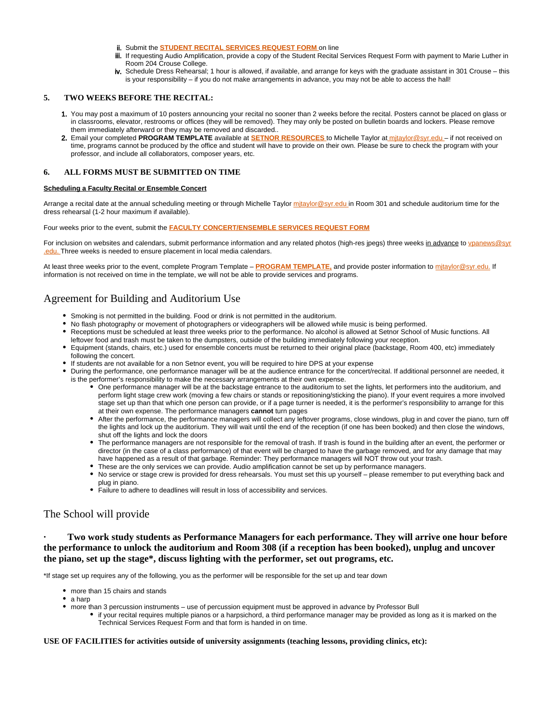- ii. Submit the **[STUDENT RECITAL SERVICES REQUEST FORM](https://its-forms.syr.edu/frevvo/web/tn/VPA/user/mecarlse/app/_L9j2sDxLEeWxmM5q6-jqow/formtype/_26p1sEENEeWxmM5q6-jqow/popupform)** on line
- iii. If requesting Audio Amplification, provide a copy of the Student Recital Services Request Form with payment to Marie Luther in Room 204 Crouse College.
- iv. Schedule Dress Rehearsal; 1 hour is allowed, if available, and arrange for keys with the graduate assistant in 301 Crouse this is your responsibility – if you do not make arrangements in advance, you may not be able to access the hall!

### **5. TWO WEEKS BEFORE THE RECITAL:**

- 1. You may post a maximum of 10 posters announcing your recital no sooner than 2 weeks before the recital. Posters cannot be placed on glass or in classrooms, elevator, restrooms or offices (they will be removed). They may only be posted on bulletin boards and lockers. Please remove them immediately afterward or they may be removed and discarded..
- 2. Email your completed **PROGRAM TEMPLATE** available at **[SETNOR RESOURCES](http://setnor-resources.vpa.syr.edu/music-majors/)** to Michelle Taylor a[t mjtaylor@syr.edu –](mailto:mjtaylor@syr.edu) if not received on time, programs cannot be produced by the office and student will have to provide on their own. Please be sure to check the program with your professor, and include all collaborators, composer years, etc.

### **6. ALL FORMS MUST BE SUBMITTED ON TIME**

#### **Scheduling a Faculty Recital or Ensemble Concert**

Arrange a recital date at the annual scheduling meeting or through Michelle Taylor mitaylor@syr.edu in Room 301 and schedule auditorium time for the dress rehearsal (1-2 hour maximum if available).

Four weeks prior to the event, submit the **[FACULTY CONCERT/ENSEMBLE SERVICES REQUEST FORM](https://its-forms.syr.edu/frevvo/web/tn/VPA/user/mecarlse/app/_L9j2sDxLEeWxmM5q6-jqow/formtype/_MrJ9QEHBEeWxmM5q6-jqow/popupform)**

For inclusion on websites and calendars, submit performance information and any related photos (high-res jpegs) three weeks in advance to [vpanews@syr](mailto:vpanews@syr.edu) [.edu. T](mailto:vpanews@syr.edu)hree weeks is needed to ensure placement in local media calendars.

At least three weeks prior to the event, complete Program Template – **[PROGRAM TEMPLATE,](http://setnor-resources.vpa.syr.edu/wp-content/uploads/2015/06/PROGRAM-TEMPLATE-2015-Full-sheet-1.docx)** and provide poster information to [mjtaylor@syr.edu.](mailto:mjtaylor@syr.edu) If information is not received on time in the template, we will not be able to provide services and programs.

# Agreement for Building and Auditorium Use

- Smoking is not permitted in the building. Food or drink is not permitted in the auditorium.
- No flash photography or movement of photographers or videographers will be allowed while music is being performed.
- Receptions must be scheduled at least three weeks prior to the performance. No alcohol is allowed at Setnor School of Music functions. All leftover food and trash must be taken to the dumpsters, outside of the building immediately following your reception.
- Equipment (stands, chairs, etc.) used for ensemble concerts must be returned to their original place (backstage, Room 400, etc) immediately following the concert.
- If students are not available for a non Setnor event, you will be required to hire DPS at your expense
- During the performance, one performance manager will be at the audience entrance for the concert/recital. If additional personnel are needed, it is the performer's responsibility to make the necessary arrangements at their own expense.
	- One performance manager will be at the backstage entrance to the auditorium to set the lights, let performers into the auditorium, and perform light stage crew work (moving a few chairs or stands or repositioning/sticking the piano). If your event requires a more involved stage set up than that which one person can provide, or if a page turner is needed, it is the performer's responsibility to arrange for this at their own expense. The performance managers **cannot** turn pages
	- After the performance, the performance managers will collect any leftover programs, close windows, plug in and cover the piano, turn off the lights and lock up the auditorium. They will wait until the end of the reception (if one has been booked) and then close the windows, shut off the lights and lock the doors
	- The performance managers are not responsible for the removal of trash. If trash is found in the building after an event, the performer or director (in the case of a class performance) of that event will be charged to have the garbage removed, and for any damage that may have happened as a result of that garbage. Reminder: They performance managers will NOT throw out your trash.
	- These are the only services we can provide. Audio amplification cannot be set up by performance managers.
	- No service or stage crew is provided for dress rehearsals. You must set this up yourself please remember to put everything back and plug in piano.
	- Failure to adhere to deadlines will result in loss of accessibility and services.

# The School will provide

**· Two work study students as Performance Managers for each performance. They will arrive one hour before the performance to unlock the auditorium and Room 308 (if a reception has been booked), unplug and uncover the piano, set up the stage\*, discuss lighting with the performer, set out programs, etc.**

\*If stage set up requires any of the following, you as the performer will be responsible for the set up and tear down

- more than 15 chairs and stands
- a harp
- more than 3 percussion instruments use of percussion equipment must be approved in advance by Professor Bull
	- if your recital requires multiple pianos or a harpsichord, a third performance manager may be provided as long as it is marked on the Technical Services Request Form and that form is handed in on time.

### **USE OF FACILITIES for activities outside of university assignments (teaching lessons, providing clinics, etc):**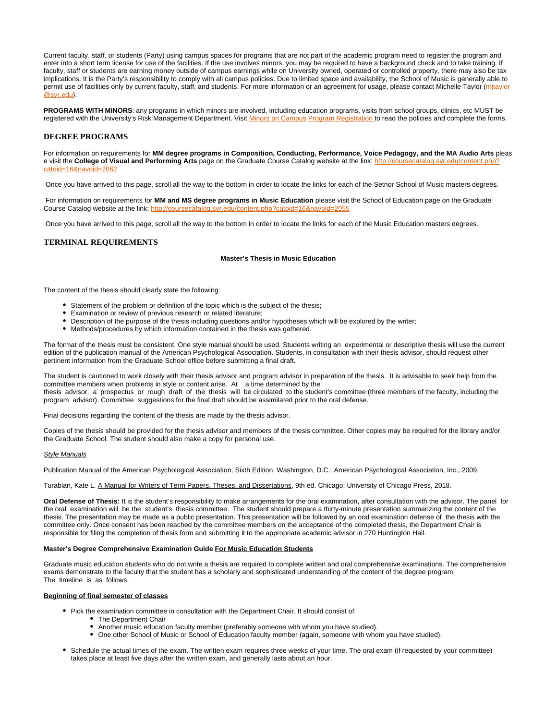Current faculty, staff, or students (Party) using campus spaces for programs that are not part of the academic program need to register the program and enter into a short term license for use of the facilities. If the use involves minors, you may be required to have a background check and to take training. If faculty, staff or students are earning money outside of campus earnings while on University owned, operated or controlled property, there may also be tax implications. It is the Party's responsibility to comply with all campus policies. Due to limited space and availability, the School of Music is generally able to permit use of facilities only by current faculty, staff, and students. For more information or an agreement for usage, please contact Michelle Taylor (mitaylor [@syr.edu](mailto:mjtaylor@syr.edu)).

**PROGRAMS WITH MINORS**: any programs in which minors are involved, including education programs, visits from school groups, clinics, etc MUST be registered with the University's Risk Management Department. Visit [Minors on Campus](http://riskmanagement.syr.edu/policies-and-procedures/minors-on-campus/program-registration/) [Program Registration t](http://riskmanagement.syr.edu/policies-and-procedures/minors-on-campus/program-registration/)o read the policies and complete the forms.

### **DEGREE PROGRAMS**

For information on requirements for **MM degree programs in Composition, Conducting, Performance, Voice Pedagogy, and the MA Audio Arts** pleas e visit the **College of Visual and Performing Arts** page on the Graduate Course Catalog website at the link: [http://coursecatalog.syr.edu/content.php?](http://coursecatalog.syr.edu/content.php?catoid=16&navoid=2062) [catoid=16&navoid=2062](http://coursecatalog.syr.edu/content.php?catoid=16&navoid=2062)

Once you have arrived to this page, scroll all the way to the bottom in order to locate the links for each of the Setnor School of Music masters degrees.

 For information on requirements for **MM and MS degree programs in Music Education** please visit the School of Education page on the Graduate Course Catalog website at the link: <http://coursecatalog.syr.edu/content.php?catoid=16&navoid=2055>

Once you have arrived to this page, scroll all the way to the bottom in order to locate the links for each of the Music Education masters degrees.

#### **TERMINAL REQUIREMENTS**

#### **Master's Thesis in Music Education**

The content of the thesis should clearly state the following:

- Statement of the problem or definition of the topic which is the subject of the thesis;
- Examination or review of previous research or related literature;
- Description of the purpose of the thesis including questions and/or hypotheses which will be explored by the writer;
- Methods/procedures by which information contained in the thesis was gathered.

The format of the thesis must be consistent. One style manual should be used. Students writing an experimental or descriptive thesis will use the current edition of the publication manual of the American Psychological Association. Students, in consultation with their thesis advisor, should request other pertinent information from the Graduate School office before submitting a final draft.

The student is cautioned to work closely with their thesis advisor and program advisor in preparation of the thesis. It is advisable to seek help from the committee members when problems in style or content arise. At a time determined by the thesis advisor, a prospectus or rough draft of the thesis will be circulated to the student's committee (three members of the faculty, including the program advisor). Committee suggestions for the final draft should be assimilated prior to the oral defense.

Final decisions regarding the content of the thesis are made by the thesis advisor.

Copies of the thesis should be provided for the thesis advisor and members of the thesis committee. Other copies may be required for the library and/or the Graduate School. The student should also make a copy for personal use.

#### Style Manuals

Publication Manual of the American Psychological Association, Sixth Edition. Washington, D.C.: American Psychological Association, Inc., 2009.

Turabian, Kate L. A Manual for Writers of Term Papers, Theses, and Dissertations, 9th ed. Chicago: University of Chicago Press, 2018.

**Oral Defense of Thesis:** It is the student's responsibility to make arrangements for the oral examination, after consultation with the advisor. The panel for the oral examination will be the student's thesis committee. The student should prepare a thirty-minute presentation summarizing the content of the thesis. The presentation may be made as a public presentation. This presentation will be followed by an oral examination defense of the thesis with the committee only. Once consent has been reached by the committee members on the acceptance of the completed thesis, the Department Chair is responsible for filing the completion of thesis form and submitting it to the appropriate academic advisor in 270 Huntington Hall.

#### **Master's Degree Comprehensive Examination Guide For Music Education Students**

Graduate music education students who do not write a thesis are required to complete written and oral comprehensive examinations. The comprehensive exams demonstrate to the faculty that the student has a scholarly and sophisticated understanding of the content of the degree program. The timeline is as follows:

### **Beginning of final semester of classes**

- Pick the examination committee in consultation with the Department Chair. It should consist of:
	- The Department Chair
	- Another music education faculty member (preferably someone with whom you have studied).
	- One other School of Music or School of Education faculty member (again, someone with whom you have studied).
- Schedule the actual times of the exam. The written exam requires three weeks of your time. The oral exam (if requested by your committee) takes place at least five days after the written exam, and generally lasts about an hour.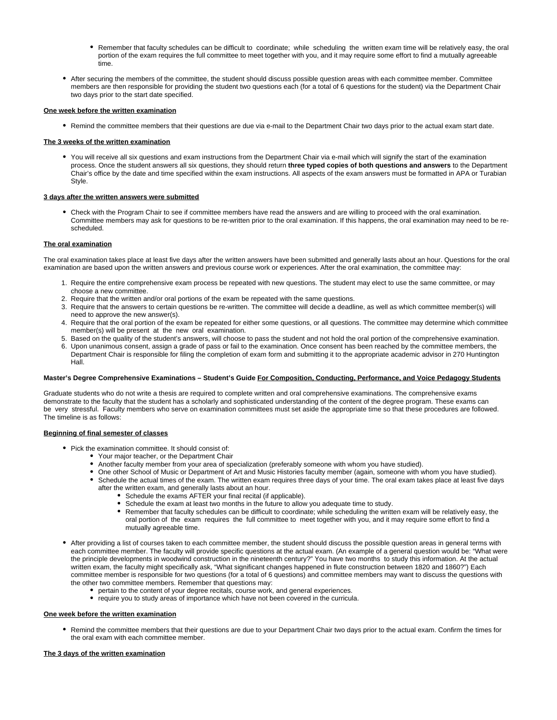- Remember that faculty schedules can be difficult to coordinate; while scheduling the written exam time will be relatively easy, the oral portion of the exam requires the full committee to meet together with you, and it may require some effort to find a mutually agreeable time.
- After securing the members of the committee, the student should discuss possible question areas with each committee member. Committee members are then responsible for providing the student two questions each (for a total of 6 questions for the student) via the Department Chair two days prior to the start date specified.

#### **One week before the written examination**

Remind the committee members that their questions are due via e-mail to the Department Chair two days prior to the actual exam start date.

#### **The 3 weeks of the written examination**

You will receive all six questions and exam instructions from the Department Chair via e-mail which will signify the start of the examination process. Once the student answers all six questions, they should return **three typed copies of both questions and answers** to the Department Chair's office by the date and time specified within the exam instructions. All aspects of the exam answers must be formatted in APA or Turabian Style.

#### **3 days after the written answers were submitted**

Check with the Program Chair to see if committee members have read the answers and are willing to proceed with the oral examination. Committee members may ask for questions to be re-written prior to the oral examination. If this happens, the oral examination may need to be rescheduled.

#### **The oral examination**

The oral examination takes place at least five days after the written answers have been submitted and generally lasts about an hour. Questions for the oral examination are based upon the written answers and previous course work or experiences. After the oral examination, the committee may:

- 1. Require the entire comprehensive exam process be repeated with new questions. The student may elect to use the same committee, or may choose a new committee.
- 2. Require that the written and/or oral portions of the exam be repeated with the same questions.
- 3. Require that the answers to certain questions be re-written. The committee will decide a deadline, as well as which committee member(s) will need to approve the new answer(s).
- 4. Require that the oral portion of the exam be repeated for either some questions, or all questions. The committee may determine which committee member(s) will be present at the new oral examination.
- 5. Based on the quality of the student's answers, will choose to pass the student and not hold the oral portion of the comprehensive examination.
- 6. Upon unanimous consent, assign a grade of pass or fail to the examination. Once consent has been reached by the committee members, the Department Chair is responsible for filing the completion of exam form and submitting it to the appropriate academic advisor in 270 Huntington Hall.

#### **Master's Degree Comprehensive Examinations – Student's Guide For Composition, Conducting, Performance, and Voice Pedagogy Students**

Graduate students who do not write a thesis are required to complete written and oral comprehensive examinations. The comprehensive exams demonstrate to the faculty that the student has a scholarly and sophisticated understanding of the content of the degree program. These exams can be very stressful. Faculty members who serve on examination committees must set aside the appropriate time so that these procedures are followed. The timeline is as follows:

#### **Beginning of final semester of classes**

- Pick the examination committee. It should consist of:
	- Your major teacher, or the Department Chair
	- Another faculty member from your area of specialization (preferably someone with whom you have studied).
	- One other School of Music or Department of Art and Music Histories faculty member (again, someone with whom you have studied). Schedule the actual times of the exam. The written exam requires three days of your time. The oral exam takes place at least five days
		- after the written exam, and generally lasts about an hour.
			- Schedule the exams AFTER your final recital (if applicable).
			- Schedule the exam at least two months in the future to allow you adequate time to study.
			- $\bullet$ Remember that faculty schedules can be difficult to coordinate; while scheduling the written exam will be relatively easy, the oral portion of the exam requires the full committee to meet together with you, and it may require some effort to find a mutually agreeable time.
- After providing a list of courses taken to each committee member, the student should discuss the possible question areas in general terms with each committee member. The faculty will provide specific questions at the actual exam. (An example of a general question would be: "What were the principle developments in woodwind construction in the nineteenth century?" You have two months to study this information. At the actual written exam, the faculty might specifically ask, "What significant changes happened in flute construction between 1820 and 1860?") Each committee member is responsible for two questions (for a total of 6 questions) and committee members may want to discuss the questions with the other two committee members. Remember that questions may:
	- pertain to the content of your degree recitals, course work, and general experiences.
	- require you to study areas of importance which have not been covered in the curricula.

#### **One week before the written examination**

Remind the committee members that their questions are due to your Department Chair two days prior to the actual exam. Confirm the times for the oral exam with each committee member.

#### **The 3 days of the written examination**